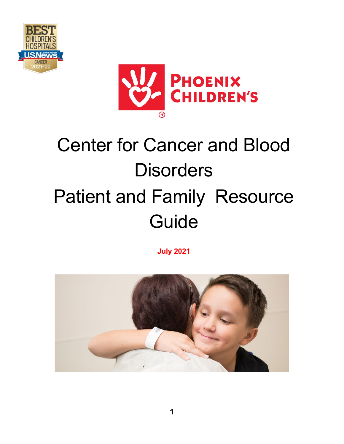



# Center for Cancer and Blood **Disorders** Patient and Family Resource Guide

**July 2021** 

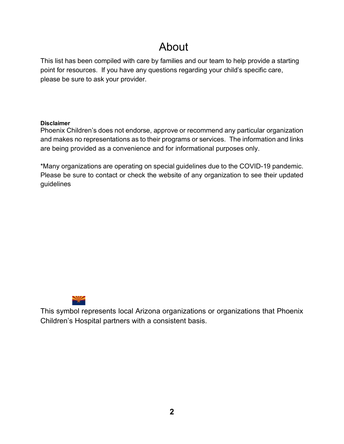### About

This list has been compiled with care by families and our team to help provide a starting point for resources. If you have any questions regarding your child's specific care, please be sure to ask your provider.

#### **Disclaimer**

Phoenix Children's does not endorse, approve or recommend any particular organization and makes no representations as to their programs or services. The information and links are being provided as a convenience and for informational purposes only.

\*Many organizations are operating on special guidelines due to the COVID-19 pandemic. Please be sure to contact or check the website of any organization to see their updated guidelines



This symbol represents local Arizona organizations or organizations that Phoenix Children's Hospital partners with a consistent basis.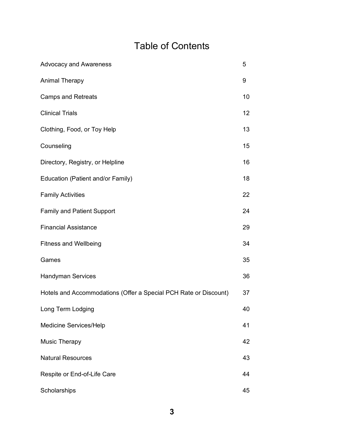### Table of Contents

| <b>Advocacy and Awareness</b>                                    | 5  |
|------------------------------------------------------------------|----|
| <b>Animal Therapy</b>                                            | 9  |
| <b>Camps and Retreats</b>                                        | 10 |
| <b>Clinical Trials</b>                                           | 12 |
| Clothing, Food, or Toy Help                                      | 13 |
| Counseling                                                       | 15 |
| Directory, Registry, or Helpline                                 | 16 |
| Education (Patient and/or Family)                                | 18 |
| <b>Family Activities</b>                                         | 22 |
| <b>Family and Patient Support</b>                                | 24 |
| <b>Financial Assistance</b>                                      | 29 |
| <b>Fitness and Wellbeing</b>                                     | 34 |
| Games                                                            | 35 |
| <b>Handyman Services</b>                                         | 36 |
| Hotels and Accommodations (Offer a Special PCH Rate or Discount) | 37 |
| Long Term Lodging                                                | 40 |
| Medicine Services/Help                                           | 41 |
| <b>Music Therapy</b>                                             | 42 |
| <b>Natural Resources</b>                                         | 43 |
| Respite or End-of-Life Care                                      | 44 |
| Scholarships                                                     | 45 |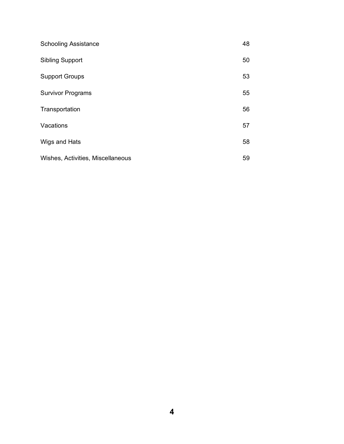| <b>Schooling Assistance</b>       | 48 |
|-----------------------------------|----|
| <b>Sibling Support</b>            | 50 |
| <b>Support Groups</b>             | 53 |
| <b>Survivor Programs</b>          | 55 |
| Transportation                    | 56 |
| Vacations                         | 57 |
| Wigs and Hats                     | 58 |
| Wishes, Activities, Miscellaneous | 59 |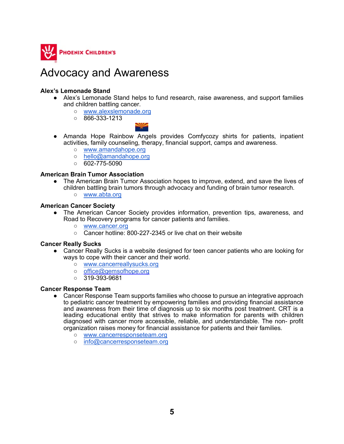

### Advocacy and Awareness

#### **Alex's Lemonade Stand**

- Alex's Lemonade Stand helps to fund research, raise awareness, and support families and children battling cancer.
	- [www.alexslemonade.org](http://www.alexslemonade.org/)
	- $\circ$  866-333-1213



- Amanda Hope Rainbow Angels provides Comfycozy shirts for patients, inpatient activities, family counseling, therapy, financial support, camps and awareness.
	- [www.amandahope.org](http://www.amandahope.org/)
	- [hello@amandahope.org](mailto:hello@amandahope.org)
	- $\circ$  602-775-5090

#### **American Brain Tumor Association**

- The American Brain Tumor Association hopes to improve, extend, and save the lives of children battling brain tumors through advocacy and funding of brain tumor research.
	- [www.abta.org](http://www.abta.org/)

#### **American Cancer Society**

- The American Cancer Society provides information, prevention tips, awareness, and Road to Recovery programs for cancer patients and families.
	- [www.cancer.org](http://www.cancer.org/)
	- Cancer hotline: 800-227-2345 or live chat on their website

#### **Cancer Really Sucks**

- Cancer Really Sucks is a website designed for teen cancer patients who are looking for ways to cope with their cancer and their world.
	- [www.cancerreallysucks.org](http://www.cancerreallysucks.org/)
	- [office@gemsofhope.org](mailto:office@gemsofhope.org)
	- 319-393-9681

#### **Cancer Response Team**

- Cancer Response Team supports families who choose to pursue an integrative approach to pediatric cancer treatment by empowering families and providing financial assistance and awareness from their time of diagnosis up to six months post treatment. CRT is a leading educational entity that strives to make information for parents with children diagnosed with cancer more accessible, reliable, and understandable. The non- profit organization raises money for financial assistance for patients and their families.
	- [www.cancerresponseteam.org](http://www.cancerresponseteam.org/)
	- [info@cancerresponseteam.org](mailto:info@cancerresponseteam.org)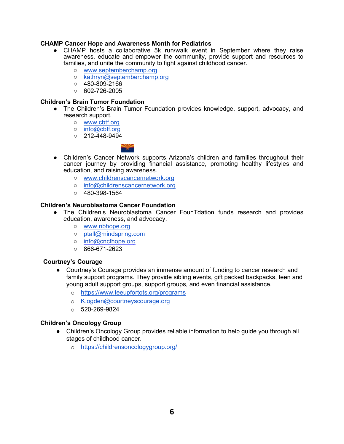#### **CHAMP Cancer Hope and Awareness Month for Pediatrics**

- CHAMP hosts a collaborative 5k run/walk event in September where they raise awareness, educate and empower the community, provide support and resources to families, and unite the community to fight against childhood cancer.
	- [www.septemberchamp.org](http://www.septemberchamp.org/)
	- [kathryn@septemberchamp.org](mailto:kathryn@septemberchamp.org)
	- $0.480 809 2166$
	- $O = 602 726 2005$

#### **Children's Brain Tumor Foundation**

- The Children's Brain Tumor Foundation provides knowledge, support, advocacy, and research support.
	- [www.cbtf.org](http://www.cbtf.org/)
	- [info@cbtf.org](mailto:info@cbtf.org)
	- $0$  212-448-9494



- Children's Cancer Network supports Arizona's children and families throughout their cancer journey by providing financial assistance, promoting healthy lifestyles and education, and raising awareness.
	- [www.childrenscancernetwork.org](http://www.childrenscancernetwork.org/)
	- [info@childrenscancernetwork.org](mailto:info@childrenscancernetwork.org)
	- $\circ$  480-398-1564

#### **Children's Neuroblastoma Cancer Foundation**

- The Children's Neuroblastoma Cancer FounTdation funds research and provides education, awareness, and advocacy.
	- [www.nbhope.org](http://www.nbhope.org/)
	- [ptall@mindspring.com](mailto:ptall@mindsring.com)
	- [info@cncfhope.org](mailto:info@cncfhope.org)
	- $\circ$  866-671-2623

#### **Courtney's Courage**

- Courtney's Courage provides an immense amount of funding to cancer research and family support programs. They provide sibling events, gift packed backpacks, teen and young adult support groups, support groups, and even financial assistance.
	- o <https://www.teeupfortots.org/programs>
	- o K.ogden@courtneyscourage.org
	- $\circ$  520-269-9824

#### **Children's Oncology Group**

- Children's Oncology Group provides reliable information to help guide you through all stages of childhood cancer.
	- o <https://childrensoncologygroup.org/>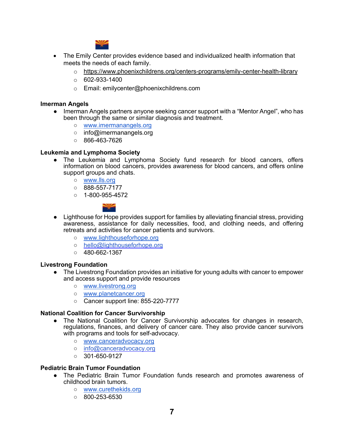

- The Emily Center provides evidence based and individualized health information that meets the needs of each family.
	- o <https://www.phoenixchildrens.org/centers-programs/emily-center-health-library>
	- $\circ$  602-933-1400
	- o Email: emilycenter@phoenixchildrens.com

#### **Imerman Angels**

- Imerman Angels partners anyone seeking cancer support with a "Mentor Angel", who has been through the same or similar diagnosis and treatment.
	- [www.imermanangels.org](http://www.imermanangels.org/)
	- [info@imermanangels.org](mailto:info@imermanangels.org)
	- 866-463-7626

#### **Leukemia and Lymphoma Society**

- The Leukemia and Lymphoma Society fund research for blood cancers, offers information on blood cancers, provides awareness for blood cancers, and offers online support groups and chats.
	- [www.lls.org](http://www.lls.org/)
	- 888-557-7177
	- $\circ$  1-800-955-4572



- Lighthouse for Hope provides support for families by alleviating financial stress, providing awareness, assistance for daily necessities, food, and clothing needs, and offering retreats and activities for cancer patients and survivors.
	- [www.lighthouseforhope.org](http://www.lighthouseforhope.org/)
	- [hello@lighthouseforhope.org](mailto:hello@lighthouseforhope.org)
	- $\circ$  480-662-1367

#### **Livestrong Foundation**

- The Livestrong Foundation provides an initiative for young adults with cancer to empower and access support and provide resources
	- [www.livestrong.org](http://www.livestrong.org/)
	- [www.planetcancer.org](http://www.planetcancer.org/)
	- Cancer support line: 855-220-7777

#### **National Coalition for Cancer Survivorship**

- The National Coalition for Cancer Survivorship advocates for changes in research, regulations, finances, and delivery of cancer care. They also provide cancer survivors with programs and tools for self-advocacy.
	- [www.canceradvocacy.org](http://www.canceradvocacy.org/)
	- o [info@canceradvocacy.org](mailto:info@canceradvocacy.org)
	- $\circ$  301-650-9127

#### **Pediatric Brain Tumor Foundation**

- The Pediatric Brain Tumor Foundation funds research and promotes awareness of childhood brain tumors.
	- [www.curethekids.org](http://www.curethekids.org/)
	- $\circ$  800-253-6530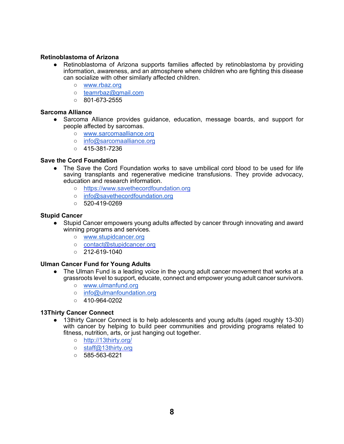#### **Retinoblastoma of Arizona**

- Retinoblastoma of Arizona supports families affected by retinoblastoma by providing information, awareness, and an atmosphere where children who are fighting this disease can socialize with other similarly affected children.
	- [www.rbaz.org](http://www.rbaz.org/)
	- teamrbaz@gmail.com
	- $\circ$  801-673-2555

#### **Sarcoma Alliance**

- Sarcoma Alliance provides guidance, education, message boards, and support for people affected by sarcomas.
	- [www.sarcomaalliance.org](http://www.sarcomaalliance.org/)
	- [info@sarcomaalliance.org](mailto:info@sarcomaalliance.org)
	- $\circ$  415-381-7236

#### **Save the Cord Foundation**

- The Save the Cord Foundation works to save umbilical cord blood to be used for life saving transplants and regenerative medicine transfusions. They provide advocacy, education and research information.
	- https://www.savethecordfoundation.org
	- [info@savethecordfoundation.org](mailto:info@savethecordfoundation.org)
	- 520-419-0269

#### **Stupid Cancer**

- Stupid Cancer empowers young adults affected by cancer through innovating and award winning programs and services.
	- [www.stupidcancer.org](http://www.stupidcancer.org/)
	- o [contact@stupidcancer.org](mailto:contact@stupidcancer.org)
	- $\circ$  212-619-1040

#### **Ulman Cancer Fund for Young Adults**

- The Ulman Fund is a leading voice in the young adult cancer movement that works at a grassroots level to support, educate, connect and empower young adult cancer survivors.
	- [www.ulmanfund.org](http://www.ulmanfund.org/)
	- o info@ulmanfoundation.org
	- 410-964-0202

#### **13Thirty Cancer Connect**

- 13thirty Cancer Connect is to help adolescents and young adults (aged roughly 13-30) with cancer by helping to build peer communities and providing programs related to fitness, nutrition, arts, or just hanging out together.
	- <http://13thirty.org/>
	- [staff@13thirty.org](mailto:staff@13thirty.org)
	- $\circ$  585-563-6221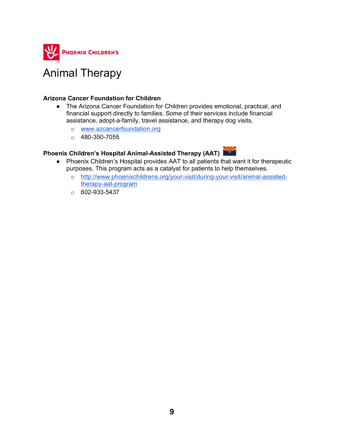

### Animal Therapy

#### **Arizona Cancer Foundation for Children**

- The Arizona Cancer Foundation for Children provides emotional, practical, and financial support directly to families. Some of their services include financial assistance, adopt-a-family, travel assistance, and therapy dog visits.
	- o [www.azcancerfoundation.org](http://www.azcancerfoundation.org/)
	- $O$  480-350-7055

### **Phoenix Children's Hospital Animal-Assisted Therapy (AAT)**

- Phoenix Children's Hospital provides AAT to all patients that want it for therapeutic purposes. This program acts as a catalyst for patients to help themselves.
	- o [http://www.phoenixchildrens.org/your-visit/during-your-visit/animal-assisted](http://www.phoenixchildrens.org/your-visit/during-your-visit/animal-assisted-therapy-aat-program)[therapy-aat-program](http://www.phoenixchildrens.org/your-visit/during-your-visit/animal-assisted-therapy-aat-program)
	- $O$  602-933-5437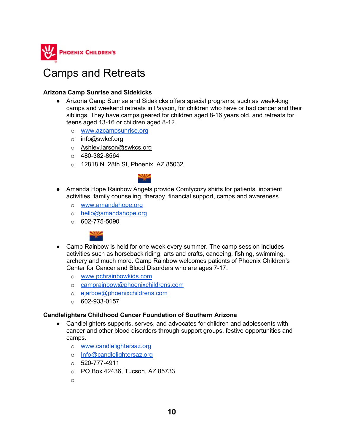

### Camps and Retreats

#### **Arizona Camp Sunrise and Sidekicks**

- Arizona Camp Sunrise and Sidekicks offers special programs, such as week-long camps and weekend retreats in Payson, for children who have or had cancer and their siblings. They have camps geared for children aged 8-16 years old, and retreats for teens aged 13-16 or children aged 8-12.
	- o [www.azcampsunrise.org](http://www.azcampsunrise.org/)
	- o [info@swkcf.org](mailto:info@swkcf.org)
	- o Ashley.larson@swkcs.org
	- o 480-382-8564
	- o 12818 N. 28th St, Phoenix, AZ 85032



- Amanda Hope Rainbow Angels provide Comfycozy shirts for patients, inpatient activities, family counseling, therapy, financial support, camps and awareness.
	- o [www.amandahope.org](http://www.amandahope.org/)
	- o [hello@amandahope.org](mailto:hello@amandahope.org)
	- $\circ$  602-775-5090



- Camp Rainbow is held for one week every summer. The camp session includes activities such as horseback riding, arts and crafts, canoeing, fishing, swimming, archery and much more. Camp Rainbow welcomes patients of Phoenix Children's Center for Cancer and Blood Disorders who are ages 7-17.
	- o [www.pchrainbowkids.com](http://www.pchrainbowkids.com/)
	- o camprainbow@phoenixchildrens.com
	- o [ejarboe@phoenixchildrens.com](mailto:ejarboe@phoenixchildrens.com)
	- $\circ$  602-933-0157

#### **Candlelighters Childhood Cancer Foundation of Southern Arizona**

- Candlelighters supports, serves, and advocates for children and adolescents with cancer and other blood disorders through support groups, festive opportunities and camps.
	- o [www.candlelightersaz.org](http://www.candlelightersaz.org/)
	- o [Info@candlelightersaz.org](mailto:info@candlelightersaz.org)
	- $\circ$  520-777-4911
	- o PO Box 42436, Tucson, AZ 85733
	- o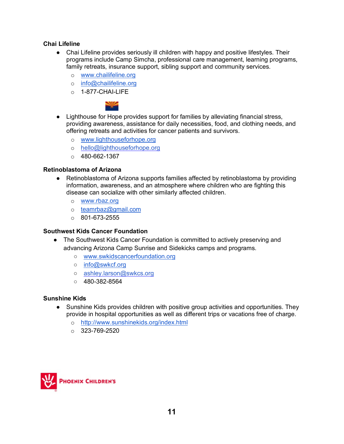#### **Chai Lifeline**

- Chai Lifeline provides seriously ill children with happy and positive lifestyles. Their programs include Camp Simcha, professional care management, learning programs, family retreats, insurance support, sibling support and community services.
	- o [www.chailifeline.org](http://www.chailifeline.org/)
	- o [info@chailifeline.org](mailto:info@chailifeline.org)
	- o 1-877-CHAI-LIFE



- Lighthouse for Hope provides support for families by alleviating financial stress, providing awareness, assistance for daily necessities, food, and clothing needs, and offering retreats and activities for cancer patients and survivors.
	- o [www.lighthouseforhope.org](http://www.lighthouseforhope.org/)
	- o [hello@lighthouseforhope.org](mailto:hello@lighthouseforhope.org)
	- $O$  480-662-1367

#### **Retinoblastoma of Arizona**

- Retinoblastoma of Arizona supports families affected by retinoblastoma by providing information, awareness, and an atmosphere where children who are fighting this disease can socialize with other similarly affected children.
	- o [www.rbaz.org](http://www.rbaz.org/)
	- o teamrbaz@gmail.com
	- $\circ$  801-673-2555

#### **Southwest Kids Cancer Foundation**

- The Southwest Kids Cancer Foundation is committed to actively preserving and advancing Arizona Camp Sunrise and Sidekicks camps and programs.
	- [www.swkidscancerfoundation.org](http://www.swkidscancerfoundation.org/)
	- [info@swkcf.org](mailto:info@swkcf.org)
	- o [ashley.larson@swkcs.org](mailto:ashley.larson@swkcs.org)
	- $\circ$  480-382-8564

#### **Sunshine Kids**

- Sunshine Kids provides children with positive group activities and opportunities. They provide in hospital opportunities as well as different trips or vacations free of charge.
	- o <http://www.sunshinekids.org/index.html>
	- $O$  323-769-2520

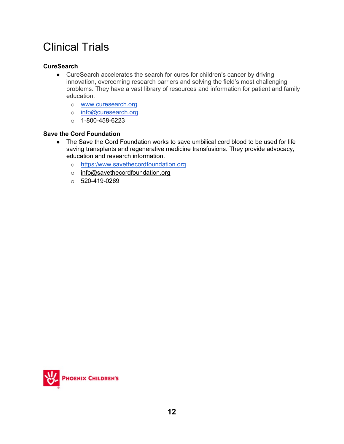# Clinical Trials

#### **CureSearch**

- CureSearch accelerates the search for cures for children's cancer by driving innovation, overcoming research barriers and solving the field's most challenging problems. They have a vast library of resources and information for patient and family education.
	- o [www.curesearch.org](http://www.curesearch.org/)
	- o [info@curesearch.org](mailto:info@curesearch.org)
	- $o$  1-800-458-6223

#### **Save the Cord Foundation**

- The Save the Cord Foundation works to save umbilical cord blood to be used for life saving transplants and regenerative medicine transfusions. They provide advocacy, education and research information.
	- o [https:/www.savethecordfoundation.org](http://www.savethecordfoundation.org/)
	- o [info@savethecordfoundation.org](mailto:info@savethecordfoundation.org)
	- $o$  520-419-0269

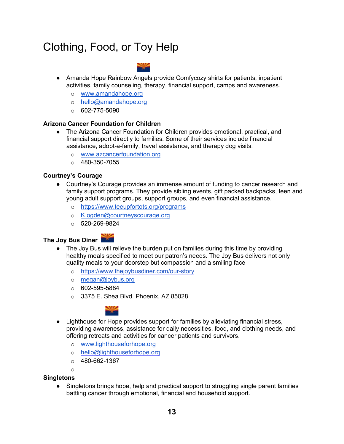# Clothing, Food, or Toy Help



- Amanda Hope Rainbow Angels provide Comfycozy shirts for patients, inpatient activities, family counseling, therapy, financial support, camps and awareness.
	- o [www.amandahope.org](http://www.amandahope.org/)
	- o [hello@amandahope.org](mailto:hello@amandahope.org)
	- $\circ$  602-775-5090

#### **Arizona Cancer Foundation for Children**

- The Arizona Cancer Foundation for Children provides emotional, practical, and financial support directly to families. Some of their services include financial assistance, adopt-a-family, travel assistance, and therapy dog visits.
	- o [www.azcancerfoundation.org](http://www.azcancerfoundation.org/)
	- $O$  480-350-7055

#### **Courtney's Courage**

- Courtney's Courage provides an immense amount of funding to cancer research and family support programs. They provide sibling events, gift packed backpacks, teen and young adult support groups, support groups, and even financial assistance.
	- o <https://www.teeupfortots.org/programs>
	- o K.ogden@courtneyscourage.org
	- $\circ$  520-269-9824



- **The Joy Bus Diner**
	- The Joy Bus will relieve the burden put on families during this time by providing healthy meals specified to meet our patron's needs. The Joy Bus delivers not only quality meals to your doorstep but compassion and a smiling face
		- o <https://www.thejoybusdiner.com/our-story>
		- o [megan@joybus.org](mailto:megan@joybus.org)
		- $\circ$  602-595-5884
		- o 3375 E. Shea Blvd. Phoenix, AZ 85028



- Lighthouse for Hope provides support for families by alleviating financial stress, providing awareness, assistance for daily necessities, food, and clothing needs, and offering retreats and activities for cancer patients and survivors.
	- o [www.lighthouseforhope.org](http://www.lighthouseforhope.org/)
	- o [hello@lighthouseforhope.org](mailto:hello@lighthouseforhope.org)
	- $O$  480-662-1367

#### **Singletons**

 $\sim$ 

● Singletons brings hope, help and practical support to struggling single parent families battling cancer through emotional, financial and household support.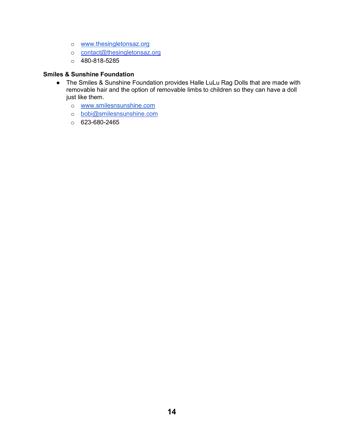- o [www.thesingletonsaz.org](http://www.thesingletonsaz.org/)
- o [contact@thesingletonsaz.org](mailto:contact@thesingletonsaz.org)
- o 480-818-5285

#### **Smiles & Sunshine Foundation**

- The Smiles & Sunshine Foundation provides Halle LuLu Rag Dolls that are made with removable hair and the option of removable limbs to children so they can have a doll just like them.
	- o [www.smilesnsunshine.com](http://www.smilesnsunshine.com/)
	- o [bobi@smilesnsunshine.com](mailto:bobi@smilesnsunshine.com)
	- o 623-680-2465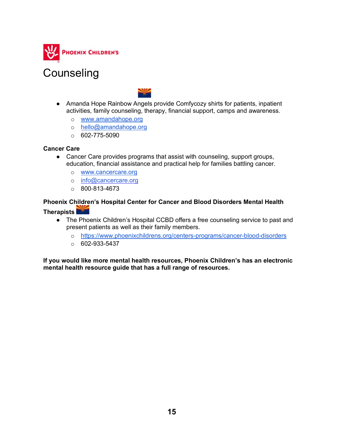

### **Counseling**



- Amanda Hope Rainbow Angels provide Comfycozy shirts for patients, inpatient activities, family counseling, therapy, financial support, camps and awareness.
	- o [www.amandahope.org](http://www.amandahope.org/)
	- o [hello@amandahope.org](mailto:hello@amandahope.org)
	- $\circ$  602-775-5090

#### **Cancer Care**

- Cancer Care provides programs that assist with counseling, support groups, education, financial assistance and practical help for families battling cancer.
	- o [www.cancercare.org](http://www.cancercare.org/)
	- o [info@cancercare.org](mailto:info@cancercare.org)
	- $\circ$  800-813-4673

### **Phoenix Children's Hospital Center for Cancer and Blood Disorders Mental Health**

**Therapists**

- The Phoenix Children's Hospital CCBD offers a free counseling service to past and present patients as well as their family members.
	- o https://www.phoenixchildrens.org/centers-programs/cancer-blood-disorders
	- $\circ$  602-933-5437

**If you would like more mental health resources, Phoenix Children's has an electronic mental health resource guide that has a full range of resources.**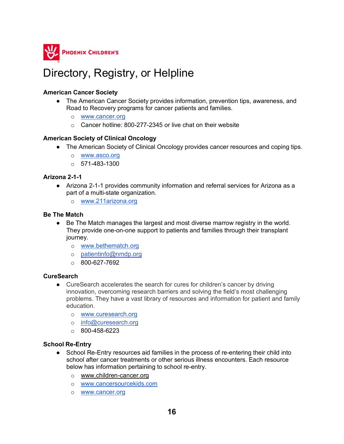

### Directory, Registry, or Helpline

#### **American Cancer Society**

- The American Cancer Society provides information, prevention tips, awareness, and Road to Recovery programs for cancer patients and families.
	- o [www.cancer.org](http://www.cancer.org/)
	- o Cancer hotline: 800-277-2345 or live chat on their website

#### **American Society of Clinical Oncology**

- The American Society of Clinical Oncology provides cancer resources and coping tips.
	- o www.asco.org
	- $\circ$  571-483-1300

#### **Arizona 2-1-1**

- Arizona 2-1-1 provides community information and referral services for Arizona as a part of a multi-state organization.
	- o [www.211arizona.org](http://www.211arizona.org/)

#### **Be The Match**

- Be The Match manages the largest and most diverse marrow registry in the world. They provide one-on-one support to patients and families through their transplant journey.
	- o [www.bethematch.org](http://www.bethematch.org/)
	- o [patientinfo@nmdp.org](mailto:patientinfo@nmdp.org)
	- $O$  800-627-7692

#### **CureSearch**

- CureSearch accelerates the search for cures for children's cancer by driving innovation, overcoming research barriers and solving the field's most challenging problems. They have a vast library of resources and information for patient and family education.
	- o [www.curesearch.org](http://www.curesearch.org/)
	- o [info@curesearch.org](mailto:info@curesearch.org)
	- o 800-458-6223

#### **School Re-Entry**

- School Re-Entry resources aid families in the process of re-entering their child into school after cancer treatments or other serious illness encounters. Each resource below has information pertaining to school re-entry.
	- o [www.children-cancer.org](http://www.children-cancer.org/)
	- o [www.cancersourcekids.com](http://www.cancersourcekids.com/)
	- o [www.cancer.org](http://www.cancer.prg/)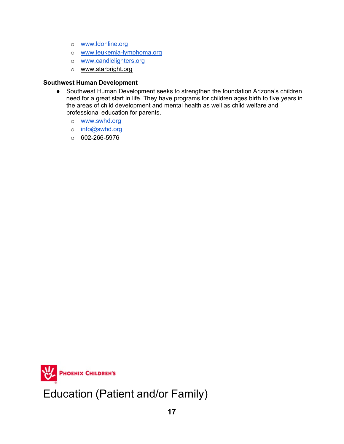- o [www.ldonline.org](http://www.ldonline.org/)
- o [www.leukemia-lymphoma.org](http://www.leukemia-lymphoma.org/)
- o [www.candlelighters.org](http://www.candlelighters.org/)
- o [www.starbright.org](http://www.starbright.org/)

#### **Southwest Human Development**

- Southwest Human Development seeks to strengthen the foundation Arizona's children need for a great start in life. They have programs for children ages birth to five years in the areas of child development and mental health as well as child welfare and professional education for parents.
	- o [www.swhd.org](http://www.swhd.org/)
	- o [info@swhd.org](mailto:info@swhd.org)
	- $O$  602-266-5976



Education (Patient and/or Family)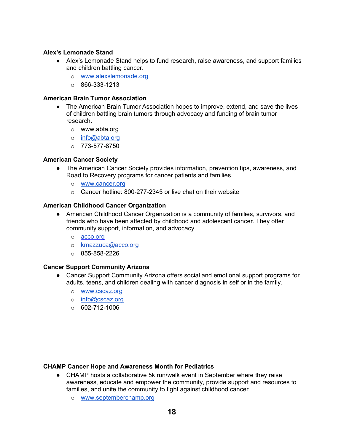#### **Alex's Lemonade Stand**

- Alex's Lemonade Stand helps to fund research, raise awareness, and support families and children battling cancer.
	- o [www.alexslemonade.org](http://www.alexslemonade.org/)
	- $\circ$  866-333-1213

#### **American Brain Tumor Association**

- The American Brain Tumor Association hopes to improve, extend, and save the lives of children battling brain tumors through advocacy and funding of brain tumor research.
	- o [www.abta.org](http://www.abta.org/)
	- o info@abta.org
	- $O$  773-577-8750

#### **American Cancer Society**

- The American Cancer Society provides information, prevention tips, awareness, and Road to Recovery programs for cancer patients and families.
	- o [www.cancer.org](http://www.cancer.org/)
	- o Cancer hotline: 800-277-2345 or live chat on their website

#### **American Childhood Cancer Organization**

- American Childhood Cancer Organization is a community of families, survivors, and friends who have been affected by childhood and adolescent cancer. They offer community support, information, and advocacy.
	- o [acco.org](http://acco.org/)
	- o [kmazzuca@acco.org](mailto:kmazzuca@acco.org)
	- o 855-858-2226

#### **Cancer Support Community Arizona**

- Cancer Support Community Arizona offers social and emotional support programs for adults, teens, and children dealing with cancer diagnosis in self or in the family.
	- o [www.cscaz.org](http://www.cscaz.org/)
	- o [info@cscaz.org](mailto:info@cscaz.org)
	- $\circ$  602-712-1006

#### **CHAMP Cancer Hope and Awareness Month for Pediatrics**

- CHAMP hosts a collaborative 5k run/walk event in September where they raise awareness, educate and empower the community, provide support and resources to families, and unite the community to fight against childhood cancer.
	- o [www.septemberchamp.org](http://www.septemberchamp.org/)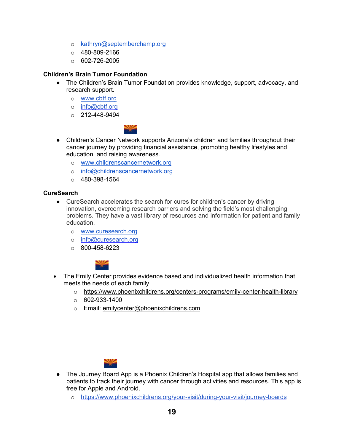- o [kathryn@septemberchamp.org](mailto:kathryn@septemberchamp.org)
- o 480-809-2166
- $O = 602 726 2005$

#### **Children's Brain Tumor Foundation**

- The Children's Brain Tumor Foundation provides knowledge, support, advocacy, and research support.
	- o [www.cbtf.org](http://www.cbtf.org/)
	- o [info@cbtf.org](mailto:info@cbtf.org)
	- $O$  212-448-9494



- Children's Cancer Network supports Arizona's children and families throughout their cancer journey by providing financial assistance, promoting healthy lifestyles and education, and raising awareness.
	- o [www.childrenscancernetwork.org](http://www.childrenscancernetwork.org/)
	- o [info@childrenscancernetwork.org](mailto:info@childrenscancernetwork.org)
	- $\circ$  480-398-1564

#### **CureSearch**

- CureSearch accelerates the search for cures for children's cancer by driving innovation, overcoming research barriers and solving the field's most challenging problems. They have a vast library of resources and information for patient and family education.
	- o [www.curesearch.org](http://www.curesearch.org/)
	- o [info@curesearch.org](mailto:info@curesearch.org)
	- $\circ$  800-458-6223



- The Emily Center provides evidence based and individualized health information that meets the needs of each family.
	- o <https://www.phoenixchildrens.org/centers-programs/emily-center-health-library>
	- $\circ$  602-933-1400
	- o Email: [emilycenter@phoenixchildrens.com](mailto:emilycenter@phoenixchildrens.com)



- The Journey Board App is a Phoenix Children's Hospital app that allows families and patients to track their journey with cancer through activities and resources. This app is free for Apple and Android.
	- o <https://www.phoenixchildrens.org/your-visit/during-your-visit/journey-boards>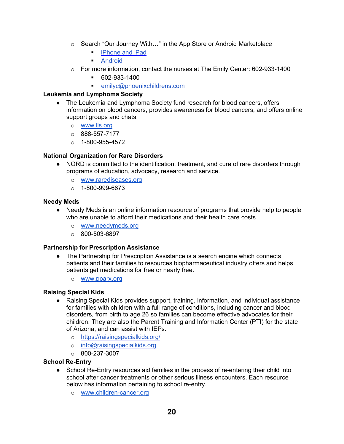- o Search "Our Journey With…" in the App Store or Android Marketplace
	- **F** [iPhone](https://itunes.apple.com/us/app/our-journey-in-the-hospital/id586230947?mt=8) and iPad
	- **-** [Android](https://play.google.com/store/apps/details?id=com.netcraft.journey.hospital)
- o For more information, contact the nurses at The Emily Center: 602-933-1400
	- 602-933-1400
	- [emilyc@phoenixchildrens.com](mailto:emilyc@phoenixchildrens.com)

#### **Leukemia and Lymphoma Society**

- The Leukemia and Lymphoma Society fund research for blood cancers, offers information on blood cancers, provides awareness for blood cancers, and offers online support groups and chats.
	- o [www.lls.org](http://www.lls.org/)
	- $\circ$  888-557-7177
	- $O$  1-800-955-4572

#### **National Organization for Rare Disorders**

- NORD is committed to the identification, treatment, and cure of rare disorders through programs of education, advocacy, research and service.
	- o [www.rarediseases.org](http://www.rarediseases.org/)
	- $O = 1 800 999 6673$

#### **Needy Meds**

- Needy Meds is an online information resource of programs that provide help to people who are unable to afford their medications and their health care costs.
	- o [www.needymeds.org](http://www.needymeds.org/)
	- $\circ$  800-503-6897

#### **Partnership for Prescription Assistance**

- The Partnership for Prescription Assistance is a search engine which connects patients and their families to resources biopharmaceutical industry offers and helps patients get medications for free or nearly free.
	- o [www.pparx.org](http://www.pparx.org/)

#### **Raising Special Kids**

- Raising Special Kids provides support, training, information, and individual assistance for families with children with a full range of conditions, including cancer and blood disorders, from birth to age 26 so families can become effective advocates for their children. They are also the Parent Training and Information Center (PTI) for the state of Arizona, and can assist with IEPs.
	- o <https://raisingspecialkids.org/>
	- o [info@raisingspecialkids.org](mailto:info@raisingspecialkids.org)
	- $\circ$  800-237-3007

#### **School Re-Entry**

- School Re-Entry resources aid families in the process of re-entering their child into school after cancer treatments or other serious illness encounters. Each resource below has information pertaining to school re-entry.
	- o [www.children-cancer.org](http://www.children-cancer.org/)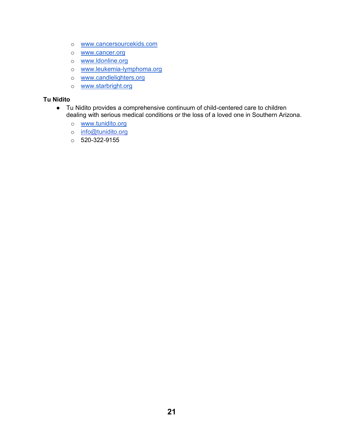- o [www.cancersourcekids.com](http://www.cancersourcekids.com/)
- o [www.cancer.org](http://www.cancer.prg/)
- o [www.ldonline.org](http://www.ldonline.org/)
- o [www.leukemia-lymphoma.org](http://www.leukemia-lymphoma.org/)
- o [www.candlelighters.org](http://www.candlelighters.org/)
- o [www.starbright.org](http://www.starbright.org/)

#### **Tu Nidito**

- Tu Nidito provides a comprehensive continuum of child-centered care to children dealing with serious medical conditions or the loss of a loved one in Southern Arizona.
	- o [www.tunidito.org](http://www.tunidito.org/)
	- o [info@tunidito.org](mailto:info@tunidito.org)
	- o 520-322-9155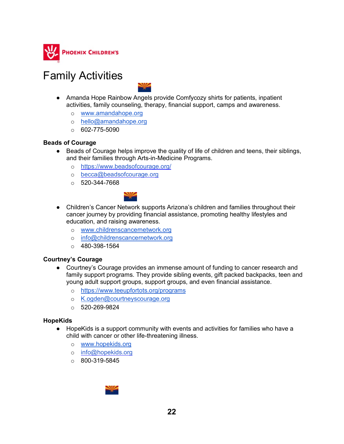

### Family Activities



- Amanda Hope Rainbow Angels provide Comfycozy shirts for patients, inpatient activities, family counseling, therapy, financial support, camps and awareness.
	- o [www.amandahope.org](http://www.amandahope.org/)
	- o [hello@amandahope.org](mailto:hello@amandahope.org)
	- $\circ$  602-775-5090

#### **Beads of Courage**

- Beads of Courage helps improve the quality of life of children and teens, their siblings, and their families through Arts-in-Medicine Programs.
	- o <https://www.beadsofcourage.org/>
	- o [becca@beadsofcourage.org](mailto:becca@beadsofcourage.org)
	- $0.520 344 7668$



- Children's Cancer Network supports Arizona's children and families throughout their cancer journey by providing financial assistance, promoting healthy lifestyles and education, and raising awareness.
	- o [www.childrenscancernetwork.org](http://www.childrenscancernetwork.org/)
	- o [info@childrenscancernetwork.org](mailto:info@childrenscancernetwork.org)
	- $\circ$  480-398-1564

#### **Courtney's Courage**

- Courtney's Courage provides an immense amount of funding to cancer research and family support programs. They provide sibling events, gift packed backpacks, teen and young adult support groups, support groups, and even financial assistance.
	- o <https://www.teeupfortots.org/programs>
	- o K.ogden@courtneyscourage.org
	- o 520-269-9824

#### **HopeKids**

- HopeKids is a support community with events and activities for families who have a child with cancer or other life-threatening illness.
	- o [www.hopekids.org](http://www.hopekids.org/)
	- o [info@hopekids.org](mailto:info@hopekids.org)
	- $\circ$  800-319-5845

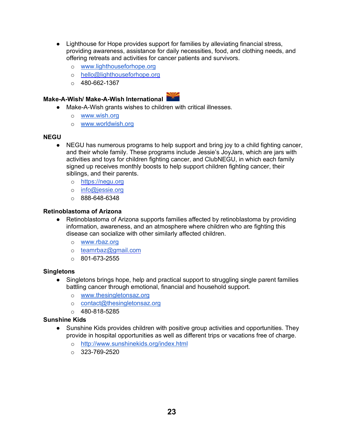- Lighthouse for Hope provides support for families by alleviating financial stress, providing awareness, assistance for daily necessities, food, and clothing needs, and offering retreats and activities for cancer patients and survivors.
	- o [www.lighthouseforhope.org](http://www.lighthouseforhope.org/)
	- o [hello@lighthouseforhope.org](mailto:hello@lighthouseforhope.org)
	- $\circ$  480-662-1367

#### **Make-A-Wish/ Make-A-Wish International**

- Make-A-Wish grants wishes to children with critical illnesses.
	- o [www.wish.org](http://www.wish.org/)
	- o [www.worldwish.org](http://www.worldwish.org/)

#### **NEGU**

- NEGU has numerous programs to help support and bring joy to a child fighting cancer, and their whole family. These programs include Jessie's JoyJars, which are jars with activities and toys for children fighting cancer, and ClubNEGU, in which each family signed up receives monthly boosts to help support children fighting cancer, their siblings, and their parents.
	- o [https://negu.org](https://negu.org/)
	- o [info@jessie.org](mailto:info@jessie.org)
	- o 888-648-6348

#### **Retinoblastoma of Arizona**

- Retinoblastoma of Arizona supports families affected by retinoblastoma by providing information, awareness, and an atmosphere where children who are fighting this disease can socialize with other similarly affected children.
	- o [www.rbaz.org](http://www.rbaz.org/)
	- o [teamrbaz@gmail.com](mailto:michelescallister@gmail.com)
	- $\circ$  801-673-2555

#### **Singletons**

- Singletons brings hope, help and practical support to struggling single parent families battling cancer through emotional, financial and household support.
	- o [www.thesingletonsaz.org](http://www.thesingletonsaz.org/)
	- o [contact@thesingletonsaz.org](mailto:contact@thesingletonsaz.org)
	- $\circ$  480-818-5285

#### **Sunshine Kids**

- Sunshine Kids provides children with positive group activities and opportunities. They provide in hospital opportunities as well as different trips or vacations free of charge.
	- o <http://www.sunshinekids.org/index.html>
	- $O$  323-769-2520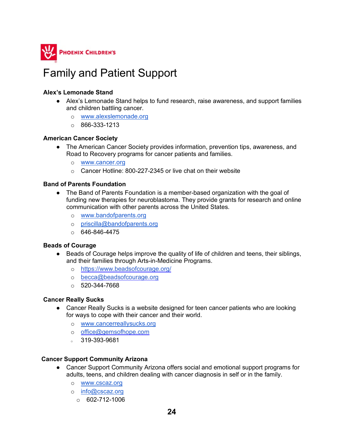

### Family and Patient Support

#### **Alex's Lemonade Stand**

- Alex's Lemonade Stand helps to fund research, raise awareness, and support families and children battling cancer.
	- o [www.alexslemonade.org](http://www.alexslemonade.org/)
	- $\circ$  866-333-1213

#### **American Cancer Society**

- The American Cancer Society provides information, prevention tips, awareness, and Road to Recovery programs for cancer patients and families.
	- o [www.cancer.org](http://www.cancer.org/)
	- $\circ$  Cancer Hotline: 800-227-2345 or live chat on their website

#### **Band of Parents Foundation**

- The Band of Parents Foundation is a member-based organization with the goal of funding new therapies for neuroblastoma. They provide grants for research and online communication with other parents across the United States.
	- o [www.bandofparents.org](http://www.bandofparents.org/)
	- o [priscilla@bandofparents.org](mailto:priscilla@bandofparents.org)
	- $\circ$  646-846-4475

#### **Beads of Courage**

- Beads of Courage helps improve the quality of life of children and teens, their siblings, and their families through Arts-in-Medicine Programs.
	- o <https://www.beadsofcourage.org/>
	- o [becca@beadsofcourage.org](mailto:becca@beadsofcourage.org)
	- $\circ$  520-344-7668

#### **Cancer Really Sucks**

- Cancer Really Sucks is a website designed for teen cancer patients who are looking for ways to cope with their cancer and their world.
	- o [www.cancerreallysucks.org](http://www.cancerreallysucks.org/)
	- o [office@gemsofhope.com](mailto:office@gemsofhope.com)
	- $319 393 9681$

#### **Cancer Support Community Arizona**

- Cancer Support Community Arizona offers social and emotional support programs for adults, teens, and children dealing with cancer diagnosis in self or in the family.
	- o [www.cscaz.org](http://www.cscaz.org/)
	- o [info@cscaz.org](mailto:info@cscaz.org)
		- $O = 602 712 1006$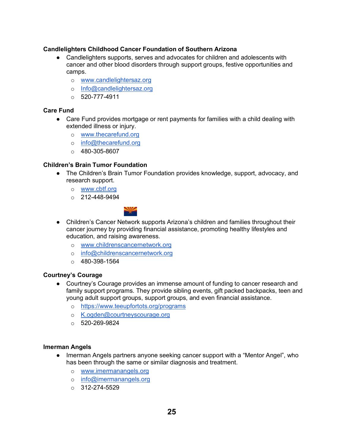#### **Candlelighters Childhood Cancer Foundation of Southern Arizona**

- Candlelighters supports, serves and advocates for children and adolescents with cancer and other blood disorders through support groups, festive opportunities and camps.
	- o [www.candlelightersaz.org](http://www.candlelightersaz.org/)
	- o [Info@candlelightersaz.org](mailto:info@candlelightersaz.org)
	- $O = 520 777 4911$

#### **Care Fund**

- Care Fund provides mortgage or rent payments for families with a child dealing with extended illness or injury.
	- o [www.thecarefund.org](http://www.thecarefund.org/)
	- o [info@thecarefund.org](mailto:info@thecarefund.org)
	- $\circ$  480-305-8607

#### **Children's Brain Tumor Foundation**

- The Children's Brain Tumor Foundation provides knowledge, support, advocacy, and research support.
	- o [www.cbtf.org](http://www.cbtf.org/)
	- $\circ$  212-448-9494



- Children's Cancer Network supports Arizona's children and families throughout their cancer journey by providing financial assistance, promoting healthy lifestyles and education, and raising awareness.
	- o [www.childrenscancernetwork.org](http://www.childrenscancernetwork.org/)
	- o [info@childrenscancernetwork.org](mailto:info@childrenscancernetwork.org)
	- $\circ$  480-398-1564

#### **Courtney's Courage**

- Courtney's Courage provides an immense amount of funding to cancer research and family support programs. They provide sibling events, gift packed backpacks, teen and young adult support groups, support groups, and even financial assistance.
	- o <https://www.teeupfortots.org/programs>
	- o K.ogden@courtneyscourage.org
	- $0.520 269 9824$

#### **Imerman Angels**

- Imerman Angels partners anyone seeking cancer support with a "Mentor Angel", who has been through the same or similar diagnosis and treatment.
	- o [www.imermanangels.org](http://www.imermanangels.org/)
	- o [info@imermanangels.org](mailto:info@imermanangels.org)
	- $\circ$  312-274-5529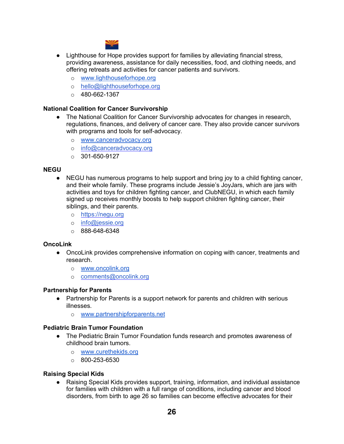

- Lighthouse for Hope provides support for families by alleviating financial stress, providing awareness, assistance for daily necessities, food, and clothing needs, and offering retreats and activities for cancer patients and survivors.
	- o [www.lighthouseforhope.org](http://www.lighthouseforhope.org/)
	- o [hello@lighthouseforhope.org](mailto:hello@lighthouseforhope.org)
	- $\circ$  480-662-1367

#### **National Coalition for Cancer Survivorship**

- The National Coalition for Cancer Survivorship advocates for changes in research, regulations, finances, and delivery of cancer care. They also provide cancer survivors with programs and tools for self-advocacy.
	- o [www.canceradvocacy.org](http://www.canceradvocacy.org/)
	- o [info@canceradvocacy.org](mailto:info@canceradvocacy.org)
	- $\circ$  301-650-9127

#### **NEGU**

- NEGU has numerous programs to help support and bring joy to a child fighting cancer, and their whole family. These programs include Jessie's JoyJars, which are jars with activities and toys for children fighting cancer, and ClubNEGU, in which each family signed up receives monthly boosts to help support children fighting cancer, their siblings, and their parents.
	- o [https://negu.org](https://negu.org/)
	- o [info@jessie.org](mailto:info@jessie.org)
	- $\circ$  888-648-6348

#### **OncoLink**

- OncoLink provides comprehensive information on coping with cancer, treatments and research.
	- o [www.oncolink.org](http://www.oncolink.org/)
	- o [comments@oncolink.org](mailto:comments@oncolink.org)

#### **Partnership for Parents**

- Partnership for Parents is a support network for parents and children with serious illnesses.
	- o [www.partnershipforparents.net](http://www.partnershipforparents.net/)

#### **Pediatric Brain Tumor Foundation**

- The Pediatric Brain Tumor Foundation funds research and promotes awareness of childhood brain tumors.
	- o [www.curethekids.org](http://www.curethekids.org/)
	- $\circ$  800-253-6530

#### **Raising Special Kids**

● Raising Special Kids provides support, training, information, and individual assistance for families with children with a full range of conditions, including cancer and blood disorders, from birth to age 26 so families can become effective advocates for their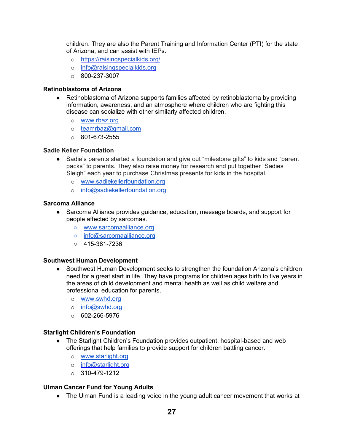children. They are also the Parent Training and Information Center (PTI) for the state of Arizona, and can assist with IEPs.

- o <https://raisingspecialkids.org/>
- o [info@raisingspecialkids.org](mailto:info@raisingspecialkids.org)
- $\circ$  800-237-3007

#### **Retinoblastoma of Arizona**

- Retinoblastoma of Arizona supports families affected by retinoblastoma by providing information, awareness, and an atmosphere where children who are fighting this disease can socialize with other similarly affected children.
	- o [www.rbaz.org](http://www.rbaz.org/)
	- o teamrbaz@gmail.com
	- $\circ$  801-673-2555

#### **Sadie Keller Foundation**

- Sadie's parents started a foundation and give out "milestone gifts" to kids and "parent packs" to parents. They also raise money for research and put together "Sadies Sleigh" each year to purchase Christmas presents for kids in the hospital.
	- o [www.sadiekellerfoundation.org](http://www.sadiekellerfoundation.org/)
	- o info@sadiekellerfoundation.org

#### **Sarcoma Alliance**

- Sarcoma Alliance provides guidance, education, message boards, and support for people affected by sarcomas.
	- [www.sarcomaalliance.org](http://www.sarcomaalliance.org/)
	- o info@sarcomaalliance.org
	- 415-381-7236

#### **Southwest Human Development**

- Southwest Human Development seeks to strengthen the foundation Arizona's children need for a great start in life. They have programs for children ages birth to five years in the areas of child development and mental health as well as child welfare and professional education for parents.
	- o [www.swhd.org](http://www.swhd.org/)
	- o [info@swhd.org](mailto:info@swhd.org)
	- $O$  602-266-5976

#### **Starlight Children's Foundation**

- The Starlight Children's Foundation provides outpatient, hospital-based and web offerings that help families to provide support for children battling cancer.
	- o [www.starlight.org](http://www.starlight.org/)
	- o [info@starlight.org](mailto:info@starlight.org)
	- $\circ$  310-479-1212

#### **Ulman Cancer Fund for Young Adults**

● The Ulman Fund is a leading voice in the young adult cancer movement that works at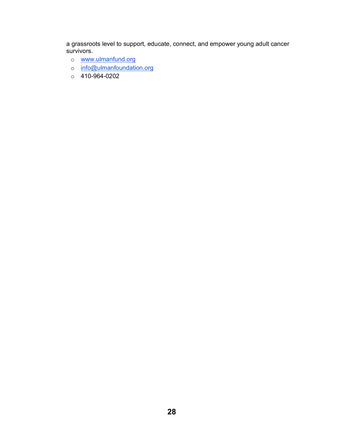a grassroots level to support, educate, connect, and empower young adult cancer survivors.

- o [www.ulmanfund.org](http://www.ulmanfund.org/)
- o info@ulmanfoundation.org
- o 410-964-0202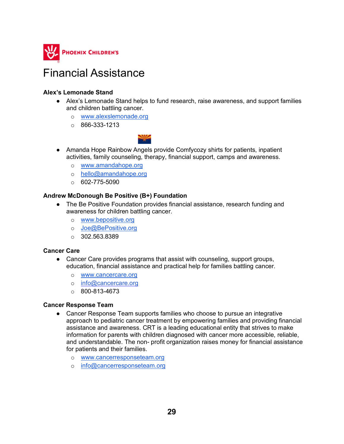

### Financial Assistance

#### **Alex's Lemonade Stand**

- Alex's Lemonade Stand helps to fund research, raise awareness, and support families and children battling cancer.
	- o [www.alexslemonade.org](http://www.alexslemonade.org/)
	- $\circ$  866-333-1213



- Amanda Hope Rainbow Angels provide Comfycozy shirts for patients, inpatient activities, family counseling, therapy, financial support, camps and awareness.
	- o [www.amandahope.org](http://www.amandahope.org/)
	- o [hello@amandahope.org](mailto:hello@amandahope.org)
	- $\circ$  602-775-5090

#### **Andrew McDonough Be Positive (B+) Foundation**

- The Be Positive Foundation provides financial assistance, research funding and awareness for children battling cancer.
	- o [www.bepositive.org](http://www.bepositive.org/)
	- o Joe@BePositive.org
	- o 302.563.8389

#### **Cancer Care**

- Cancer Care provides programs that assist with counseling, support groups, education, financial assistance and practical help for families battling cancer.
	- o [www.cancercare.org](http://www.cancercare.org/)
	- o [info@cancercare.org](mailto:info@cancercare.org)
	- $\circ$  800-813-4673

#### **Cancer Response Team**

- Cancer Response Team supports families who choose to pursue an integrative approach to pediatric cancer treatment by empowering families and providing financial assistance and awareness. CRT is a leading educational entity that strives to make information for parents with children diagnosed with cancer more accessible, reliable, and understandable. The non- profit organization raises money for financial assistance for patients and their families.
	- o [www.cancerresponseteam.org](http://www.cancerresponseteam.org/)
	- o [info@cancerresponseteam.org](mailto:info@cancerresponseteam.org)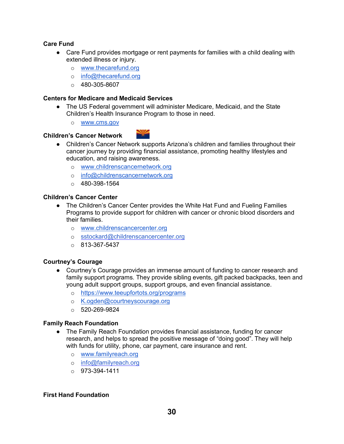#### **Care Fund**

- Care Fund provides mortgage or rent payments for families with a child dealing with extended illness or injury.
	- o [www.thecarefund.org](http://www.thecarefund.org/)
	- o [info@thecarefund.org](mailto:info@thecarefund.org)
	- $\circ$  480-305-8607

#### **Centers for Medicare and Medicaid Services**

- The US Federal government will administer Medicare, Medicaid, and the State Children's Health Insurance Program to those in need.
	- o [www.cms.gov](http://www.cms.gov/)

#### **Children's Cancer Network**



- Children's Cancer Network supports Arizona's children and families throughout their cancer journey by providing financial assistance, promoting healthy lifestyles and education, and raising awareness.
	- o [www.childrenscancernetwork.org](http://www.childrenscancernetwork.org/)
	- o [info@childrenscancernetwork.org](mailto:info@childrenscancernetwork.org)
	- $\circ$  480-398-1564

#### **Children's Cancer Center**

- The Children's Cancer Center provides the White Hat Fund and Fueling Families Programs to provide support for children with cancer or chronic blood disorders and their families.
	- o [www.childrenscancercenter.org](http://www.childrenscancercenter.org/)
	- o [sstockard@childrenscancercenter.org](mailto:sstockard@childrenscancercenter.org)
	- $\circ$  813-367-5437

#### **Courtney's Courage**

- Courtney's Courage provides an immense amount of funding to cancer research and family support programs. They provide sibling events, gift packed backpacks, teen and young adult support groups, support groups, and even financial assistance.
	- o <https://www.teeupfortots.org/programs>
	- o K.ogden@courtneyscourage.org
	- $0.520 269 9824$

#### **Family Reach Foundation**

- The Family Reach Foundation provides financial assistance, funding for cancer research, and helps to spread the positive message of "doing good". They will help with funds for utility, phone, car payment, care insurance and rent.
	- o [www.familyreach.org](http://www.familyreach.org/)
	- o [info@familyreach.org](mailto:info@familyreach.org)
	- $O$  973-394-1411

#### **First Hand Foundation**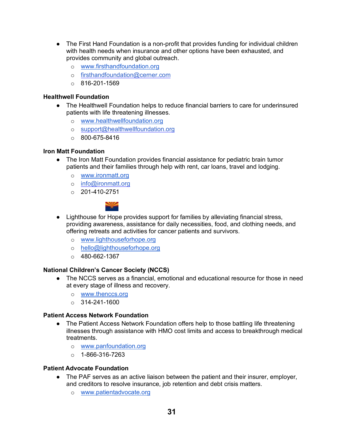- The First Hand Foundation is a non-profit that provides funding for individual children with health needs when insurance and other options have been exhausted, and provides community and global outreach.
	- o [www.firsthandfoundation.org](http://www.firsthandfoundation.org/)
	- o [firsthandfoundation@cerner.com](mailto:firsthandfoundation@cerner.com)
	- $\circ$  816-201-1569

#### **Healthwell Foundation**

- The Healthwell Foundation helps to reduce financial barriers to care for underinsured patients with life threatening illnesses.
	- o [www.healthwellfoundation.org](http://www.healthwellfoundation.org/)
	- o [support@healthwellfoundation.org](mailto:support@healthwellfoundation.org)
	- $\circ$  800-675-8416

#### **Iron Matt Foundation**

- The Iron Matt Foundation provides financial assistance for pediatric brain tumor patients and their families through help with rent, car loans, travel and lodging.
	- o [www.ironmatt.org](http://www.ironmatt.org/)
	- o [info@ironmatt.org](mailto:info@ironmatt.org)
	- $O$  201-410-2751



- Lighthouse for Hope provides support for families by alleviating financial stress, providing awareness, assistance for daily necessities, food, and clothing needs, and offering retreats and activities for cancer patients and survivors.
	- o [www.lighthouseforhope.org](http://www.lighthouseforhope.org/)
	- o [hello@lighthouseforhope.org](mailto:hello@lighthouseforhope.org)
	- $\circ$  480-662-1367

#### **National Children's Cancer Society (NCCS)**

- The NCCS serves as a financial, emotional and educational resource for those in need at every stage of illness and recovery.
	- o [www.thenccs.org](http://www.thenccs.org/)
	- $\circ$  314-241-1600

#### **Patient Access Network Foundation**

- The Patient Access Network Foundation offers help to those battling life threatening illnesses through assistance with HMO cost limits and access to breakthrough medical treatments.
	- o [www.panfoundation.org](http://www.panfoundation.org/)
	- $o$  1-866-316-7263

#### **Patient Advocate Foundation**

- The PAF serves as an active liaison between the patient and their insurer, employer, and creditors to resolve insurance, job retention and debt crisis matters.
	- o [www.patientadvocate.org](http://www.patientadvocate.org/)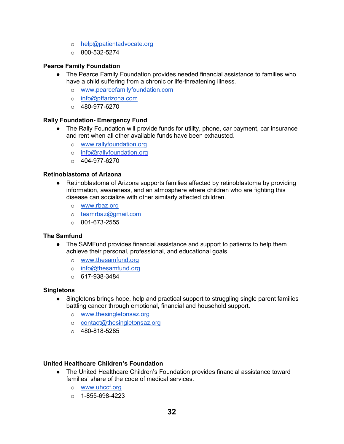- o help@patientadvocate.org
- $\circ$  800-532-5274

#### **Pearce Family Foundation**

- The Pearce Family Foundation provides needed financial assistance to families who have a child suffering from a chronic or life-threatening illness.
	- o [www.pearcefamilyfoundation.com](http://www.pearcefamilyfoundation.com/)
	- o [info@pffarizona.com](mailto:info@pffarizona.com)
	- $O$  480-977-6270

#### **Rally Foundation- Emergency Fund**

- The Rally Foundation will provide funds for utility, phone, car payment, car insurance and rent when all other available funds have been exhausted.
	- o [www.rallyfoundation.org](http://www.rallyfoundation.org/)
	- o [info@rallyfoundation.org](mailto:info@rallyfoundation.org)
	- $O$  404-977-6270

#### **Retinoblastoma of Arizona**

- Retinoblastoma of Arizona supports families affected by retinoblastoma by providing information, awareness, and an atmosphere where children who are fighting this disease can socialize with other similarly affected children.
	- o [www.rbaz.org](http://www.rbaz.org/)
	- o teamrbaz@gmail.com
	- $\circ$  801-673-2555

#### **The Samfund**

- The SAMFund provides financial assistance and support to patients to help them achieve their personal, professional, and educational goals.
	- o [www.thesamfund.org](http://www.thesamfund.org/)
	- o info@thesamfund.org
	- $O = 617 938 3484$

#### **Singletons**

- Singletons brings hope, help and practical support to struggling single parent families battling cancer through emotional, financial and household support.
	- o [www.thesingletonsaz.org](http://www.thesingletonsaz.org/)
	- o [contact@thesingletonsaz.org](mailto:contact@thesingletonsaz.org)
	- $O$  480-818-5285

#### **United Healthcare Children's Foundation**

- The United Healthcare Children's Foundation provides financial assistance toward families' share of the code of medical services.
	- o [www.uhccf.org](http://www.uhccf.org/)
	- $\circ$  1-855-698-4223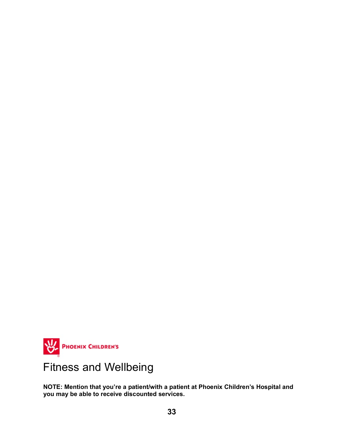

# Fitness and Wellbeing

**NOTE: Mention that you're a patient/with a patient at Phoenix Children's Hospital and you may be able to receive discounted services.**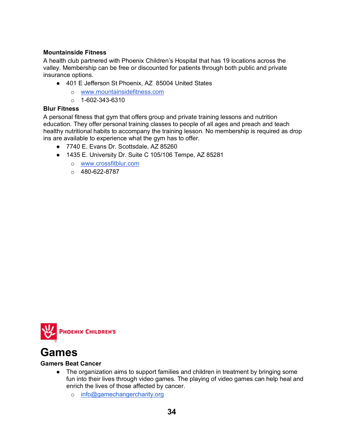#### **Mountainside Fitness**

A health club partnered with Phoenix Children's Hospital that has 19 locations across the valley. Membership can be free or discounted for patients through both public and private insurance options.

- 401 E Jefferson St Phoenix, AZ 85004 United States
	- o [www.mountainsidefitness.com](http://www.mountainsidefitness.com/)
	- $\circ$  1-602-343-6310

#### **Blur Fitness**

A personal fitness that gym that offers group and private training lessons and nutrition education. They offer personal training classes to people of all ages and preach and teach healthy nutritional habits to accompany the training lesson. No membership is required as drop ins are available to experience what the gym has to offer.

- 7740 E. Evans Dr. Scottsdale, AZ 85260
- 1435 E. University Dr. Suite C 105/106 Tempe, AZ 85281
	- o [www.crossfitblur.com](http://www.crossfitblur.com/)
		- $O = 480 622 8787$



### **Games**

#### **Gamers Beat Cancer**

- The organization aims to support families and children in treatment by bringing some fun into their lives through video games. The playing of video games can help heal and enrich the lives of those affected by cancer.
	- o [info@gamechangercharity.org](mailto:info@gamechangercharity.org)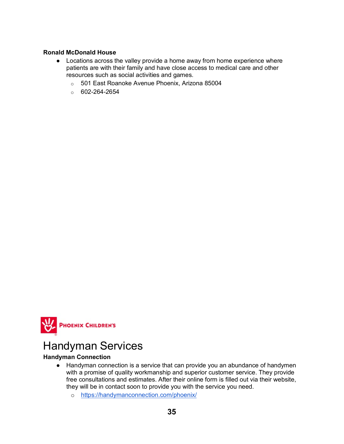#### **Ronald McDonald House**

- Locations across the valley provide a home away from home experience where patients are with their family and have close access to medical care and other resources such as social activities and games.
	- o 501 East Roanoke Avenue Phoenix, Arizona 85004
	- $\circ$  602-264-2654



### Handyman Services

#### **Handyman Connection**

- Handyman connection is a service that can provide you an abundance of handymen with a promise of quality workmanship and superior customer service. They provide free consultations and estimates. After their online form is filled out via their website, they will be in contact soon to provide you with the service you need.
	- o <https://handymanconnection.com/phoenix/>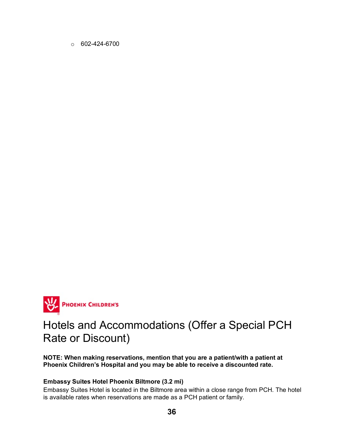$\circ$  602-424-6700



### Hotels and Accommodations (Offer a Special PCH Rate or Discount)

**NOTE: When making reservations, mention that you are a patient/with a patient at Phoenix Children's Hospital and you may be able to receive a discounted rate.**

#### **Embassy Suites Hotel Phoenix Biltmore (3.2 mi)**

Embassy Suites Hotel is located in the Biltmore area within a close range from PCH. The hotel is available rates when reservations are made as a PCH patient or family.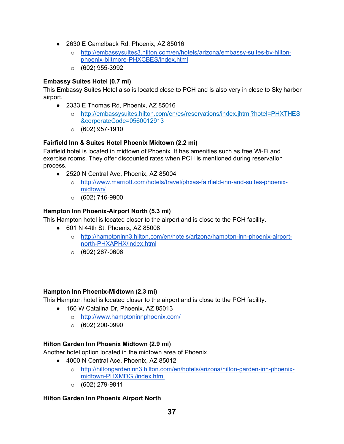- 2630 E Camelback Rd, Phoenix, AZ 85016
	- o [http://embassysuites3.hilton.com/en/hotels/arizona/embassy-suites-by-hilton](http://embassysuites3.hilton.com/en/hotels/arizona/embassy-suites-by-hilton-phoenix-biltmore-PHXCBES/index.html)[phoenix-biltmore-PHXCBES/index.html](http://embassysuites3.hilton.com/en/hotels/arizona/embassy-suites-by-hilton-phoenix-biltmore-PHXCBES/index.html)
	- $\circ$  (602) 955-3992

#### **Embassy Suites Hotel (0.7 mi)**

This Embassy Suites Hotel also is located close to PCH and is also very in close to Sky harbor airport.

- 2333 E Thomas Rd, Phoenix, AZ 85016
	- o [http://embassysuites.hilton.com/en/es/reservations/index.jhtml?hotel=PHXTHES](http://embassysuites.hilton.com/en/es/reservations/index.jhtml?hotel=PHXTHES&corporateCode=0560012913) [&corporateCode=0560012913](http://embassysuites.hilton.com/en/es/reservations/index.jhtml?hotel=PHXTHES&corporateCode=0560012913)
	- $\circ$  (602) 957-1910

### **Fairfield Inn & Suites Hotel Phoenix Midtown (2.2 mi)**

Fairfield hotel is located in midtown of Phoenix. It has amenities such as free Wi-Fi and exercise rooms. They offer discounted rates when PCH is mentioned during reservation process.

- 2520 N Central Ave, Phoenix, AZ 85004
	- o [http://www.marriott.com/hotels/travel/phxas-fairfield-inn-and-suites-phoenix](http://www.marriott.com/hotels/travel/phxas-fairfield-inn-and-suites-phoenix-midtown/)[midtown/](http://www.marriott.com/hotels/travel/phxas-fairfield-inn-and-suites-phoenix-midtown/)
	- $\circ$  (602) 716-9900

### **Hampton Inn Phoenix-Airport North (5.3 mi)**

This Hampton hotel is located closer to the airport and is close to the PCH facility.

- 601 N 44th St, Phoenix, AZ 85008
	- o [http://hamptoninn3.hilton.com/en/hotels/arizona/hampton-inn-phoenix-airport](http://hamptoninn3.hilton.com/en/hotels/arizona/hampton-inn-phoenix-airport-north-PHXAPHX/index.html)[north-PHXAPHX/index.html](http://hamptoninn3.hilton.com/en/hotels/arizona/hampton-inn-phoenix-airport-north-PHXAPHX/index.html)
	- $\circ$  (602) 267-0606

#### **Hampton Inn Phoenix-Midtown (2.3 mi)**

This Hampton hotel is located closer to the airport and is close to the PCH facility.

- 160 W Catalina Dr, Phoenix, AZ 85013
	- o <http://www.hamptoninnphoenix.com/>
	- $\circ$  (602) 200-0990

#### **Hilton Garden Inn Phoenix Midtown (2.9 mi)**

Another hotel option located in the midtown area of Phoenix.

- 4000 N Central Ace, Phoenix, AZ 85012
	- o [http://hiltongardeninn3.hilton.com/en/hotels/arizona/hilton-garden-inn-phoenix](http://hiltongardeninn3.hilton.com/en/hotels/arizona/hilton-garden-inn-phoenix-midtown-PHXMDGI/index.html)[midtown-PHXMDGI/index.html](http://hiltongardeninn3.hilton.com/en/hotels/arizona/hilton-garden-inn-phoenix-midtown-PHXMDGI/index.html)
	- $\circ$  (602) 279-9811

#### **Hilton Garden Inn Phoenix Airport North**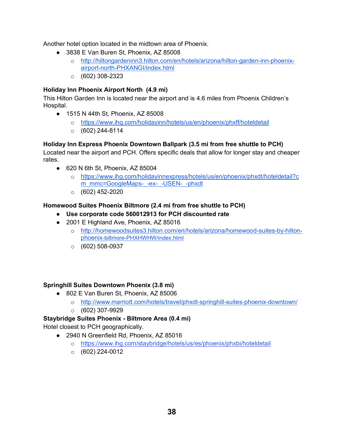Another hotel option located in the midtown area of Phoenix.

- 3838 E Van Buren St, Phoenix, AZ 85008
	- o [http://hiltongardeninn3.hilton.com/en/hotels/arizona/hilton-garden-inn-phoenix](http://hiltongardeninn3.hilton.com/en/hotels/arizona/hilton-garden-inn-phoenix-airport-north-PHXANGI/index.html)[airport-north-PHXANGI/index.html](http://hiltongardeninn3.hilton.com/en/hotels/arizona/hilton-garden-inn-phoenix-airport-north-PHXANGI/index.html)
	- $\circ$  (602) 308-2323

#### **Holiday Inn Phoenix Airport North (4.9 mi)**

This Hilton Garden Inn is located near the airport and is 4.6 miles from Phoenix Children's Hospital.

- 1515 N 44th St, Phoenix, AZ 85008
	- o <https://www.ihg.com/holidayinn/hotels/us/en/phoenix/phxff/hoteldetail>
	- $\circ$  (602) 244-8114

#### **Holiday Inn Express Phoenix Downtown Ballpark (3.5 mi from free shuttle to PCH)**

Located near the airport and PCH. Offers specific deals that allow for longer stay and cheaper rates.

- $\bullet$  620 N 6th St, Phoenix, AZ 85004
	- o [https://www.ihg.com/holidayinnexpress/hotels/us/en/phoenix/phxdt/hoteldetail?c](https://www.ihg.com/holidayinnexpress/hotels/us/en/phoenix/phxdt/hoteldetail?cm_mmc=GoogleMaps-_-ex-_-USEN-_-phxdt) [m\\_mmc=GoogleMaps-\\_-ex-\\_-USEN-\\_-phxdt](https://www.ihg.com/holidayinnexpress/hotels/us/en/phoenix/phxdt/hoteldetail?cm_mmc=GoogleMaps-_-ex-_-USEN-_-phxdt)
	- $\circ$  (602) 452-2020

#### **Homewood Suites Phoenix Biltmore (2.4 mi from free shuttle to PCH)**

- **Use corporate code 560012913 for PCH discounted rate**
- 2001 E Highland Ave, Phoenix, AZ 85016
	- o [http://homewoodsuites3.hilton.com/en/hotels/arizona/homewood-suites-by-hilton](http://homewoodsuites3.hilton.com/en/hotels/arizona/homewood-suites-by-hilton-phoenix-biltmore-PHXHWHW/index.html)[phoenix-biltmore-PHXHWHW/index.html](http://homewoodsuites3.hilton.com/en/hotels/arizona/homewood-suites-by-hilton-phoenix-biltmore-PHXHWHW/index.html)
	- $\circ$  (602) 508-0937

#### **Springhill Suites Downtown Phoenix (3.8 mi)**

- 802 E Van Buren St, Phoenix, AZ 85006
	- o <http://www.marriott.com/hotels/travel/phxdt-springhill-suites-phoenix-downtown/>
	- $\circ$  (602) 307-9929

#### **Staybridge Suites Phoenix - Biltmore Area (0.4 mi)**

Hotel closest to PCH geographically.

- 2940 N Greenfield Rd, Phoenix, AZ 85016
	- o <https://www.ihg.com/staybridge/hotels/us/es/phoenix/phxbi/hoteldetail>
	- $\circ$  (602) 224-0012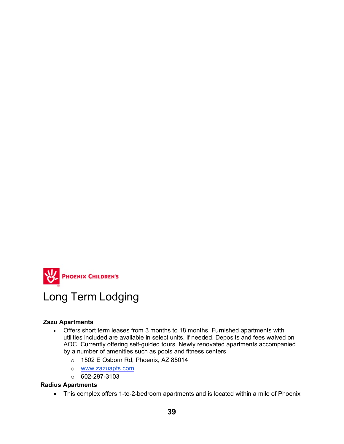

### Long Term Lodging

#### **Zazu Apartments**

- Offers short term leases from 3 months to 18 months. Furnished apartments with utilities included are available in select units, if needed. Deposits and fees waived on AOC. Currently offering self-guided tours. Newly renovated apartments accompanied by a number of amenities such as pools and fitness centers
	- o 1502 E Osborn Rd, Phoenix, AZ 85014
	- o [www.zazuapts.com](http://www.zazuapts.com/)
	- o 602-297-3103

#### **Radius Apartments**

• This complex offers 1-to-2-bedroom apartments and is located within a mile of Phoenix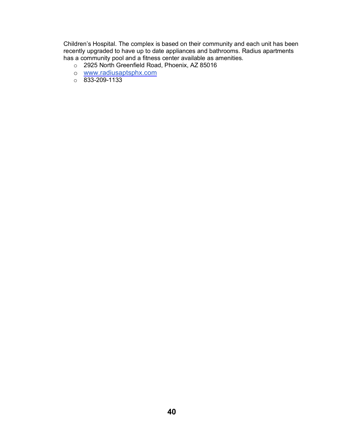Children's Hospital. The complex is based on their community and each unit has been recently upgraded to have up to date appliances and bathrooms. Radius apartments has a community pool and a fitness center available as amenities.

- o 2925 North Greenfield Road, Phoenix, AZ 85016
- o [www.radiusaptsphx.com](http://www.radiusaptsphx.com/)
- $\circ$  833-209-1133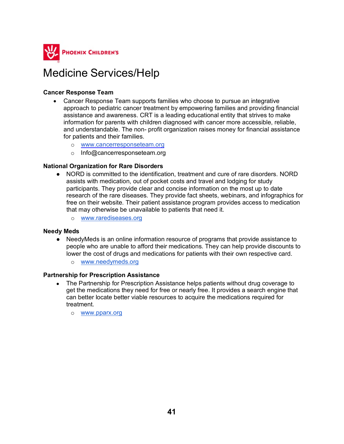

### Medicine Services/Help

#### **Cancer Response Team**

- Cancer Response Team supports families who choose to pursue an integrative approach to pediatric cancer treatment by empowering families and providing financial assistance and awareness. CRT is a leading educational entity that strives to make information for parents with children diagnosed with cancer more accessible, reliable, and understandable. The non- profit organization raises money for financial assistance for patients and their families.
	- o [www.cancerresponseteam.org](http://www.cancerresponseteam.org/)
	- o Info@cancerresponseteam.org

#### **National Organization for Rare Disorders**

- NORD is committed to the identification, treatment and cure of rare disorders. NORD assists with medication, out of pocket costs and travel and lodging for study participants. They provide clear and concise information on the most up to date research of the rare diseases. They provide fact sheets, webinars, and infographics for free on their website. Their patient assistance program provides access to medication that may otherwise be unavailable to patients that need it.
	- o [www.rarediseases.org](http://www.rarediseases.org/)

#### **Needy Meds**

- NeedyMeds is an online information resource of programs that provide assistance to people who are unable to afford their medications. They can help provide discounts to lower the cost of drugs and medications for patients with their own respective card.
	- o [www.needymeds.org](http://www.needymeds.org/)

#### **Partnership for Prescription Assistance**

- The Partnership for Prescription Assistance helps patients without drug coverage to get the medications they need for free or nearly free. It provides a search engine that can better locate better viable resources to acquire the medications required for treatment.
	- o [www.pparx.org](http://www.pparx.org/)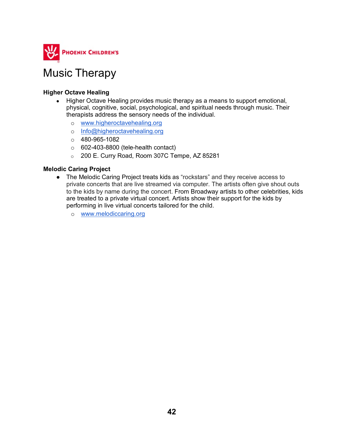

### Music Therapy

#### **Higher Octave Healing**

- Higher Octave Healing provides music therapy as a means to support emotional, physical, cognitive, social, psychological, and spiritual needs through music. Their therapists address the sensory needs of the individual.
	- o [www.higheroctavehealing.org](http://www.higheroctavehealing.org/)
	- o [Info@higheroctavehealing.org](mailto:info@higheroctavehealing.org)
	- $\circ$  480-965-1082
	- $\circ$  602-403-8800 (tele-health contact)
	- o 200 E. Curry Road, Room 307C Tempe, AZ 85281

#### **Melodic Caring Project**

- The Melodic Caring Project treats kids as "rockstars" and they receive access to private concerts that are live streamed via computer. The artists often give shout outs to the kids by name during the concert. From Broadway artists to other celebrities, kids are treated to a private virtual concert. Artists show their support for the kids by performing in live virtual concerts tailored for the child.
	- o [www.melodiccaring.org](http://www.melodiccaring.org/)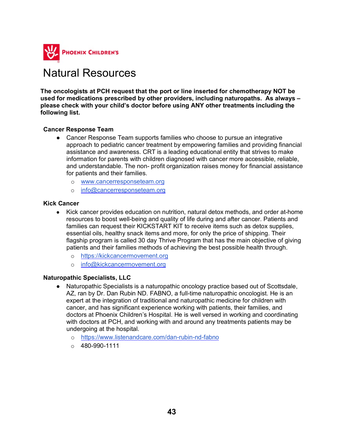

### Natural Resources

**The oncologists at PCH request that the port or line inserted for chemotherapy NOT be used for medications prescribed by other providers, including naturopaths. As always – please check with your child's doctor before using ANY other treatments including the following list.** 

#### **Cancer Response Team**

- Cancer Response Team supports families who choose to pursue an integrative approach to pediatric cancer treatment by empowering families and providing financial assistance and awareness. CRT is a leading educational entity that strives to make information for parents with children diagnosed with cancer more accessible, reliable, and understandable. The non- profit organization raises money for financial assistance for patients and their families.
	- o [www.cancerresponseteam.org](http://www.cancerresponseteam.org/)
	- o [info@cancerresponseteam.org](mailto:info@cancerresponseteam.org)

#### **Kick Cancer**

- Kick cancer provides education on nutrition, natural detox methods, and order at-home resources to boost well-being and quality of life during and after cancer. Patients and families can request their KICKSTART KIT to receive items such as detox supplies, essential oils, healthy snack items and more, for only the price of shipping. Their flagship program is called 30 day Thrive Program that has the main objective of giving patients and their families methods of achieving the best possible health through.
	- o [https://kickcancermovement.org](https://kickcancermovement.org/)
	- o [info@kickcancermovement.org](mailto:info@kickcancermovement.org)

#### **Naturopathic Specialists, LLC**

- Naturopathic Specialists is a naturopathic oncology practice based out of Scottsdale, AZ, ran by Dr. Dan Rubin ND. FABNO, a full-time naturopathic oncologist. He is an expert at the integration of traditional and naturopathic medicine for children with cancer, and has significant experience working with patients, their families, and doctors at Phoenix Children's Hospital. He is well versed in working and coordinating with doctors at PCH, and working with and around any treatments patients may be undergoing at the hospital.
	- o <https://www.listenandcare.com/dan-rubin-nd-fabno>
	- $\circ$  480-990-1111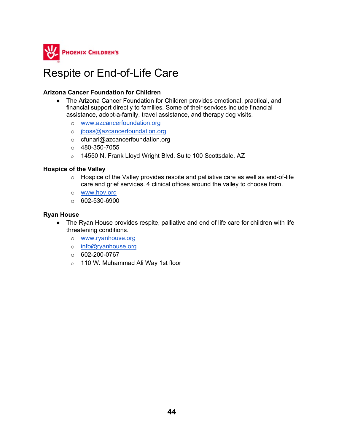

### Respite or End-of-Life Care

#### **Arizona Cancer Foundation for Children**

- The Arizona Cancer Foundation for Children provides emotional, practical, and financial support directly to families. Some of their services include financial assistance, adopt-a-family, travel assistance, and therapy dog visits.
	- o [www.azcancerfoundation.org](http://www.azcancerfoundation.org/)
	- o [jboss@azcancerfoundation.org](mailto:jboss@azcancerfoundation.org)
	- o cfunari@azcancerfoundation.org
	- $O$  480-350-7055
	- o 14550 N. Frank Lloyd Wright Blvd. Suite 100 Scottsdale, AZ

#### **Hospice of the Valley**

- $\circ$  Hospice of the Valley provides respite and palliative care as well as end-of-life care and grief services. 4 clinical offices around the valley to choose from.
- o [www.hov.org](http://www.hov.org/)
- $00 602 530 6900$

#### **Ryan House**

- The Ryan House provides respite, palliative and end of life care for children with life threatening conditions.
	- o [www.ryanhouse.org](http://www.ryanhouse.org/)
	- o [info@ryanhouse.org](mailto:info@ryanhouse.org)
	- o 602-200-0767
	- o 110 W. Muhammad Ali Way 1st floor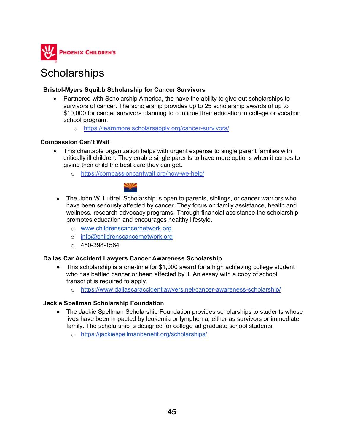

### **Scholarships**

#### **Bristol-Myers Squibb Scholarship for Cancer Survivors**

- Partnered with Scholarship America, the have the ability to give out scholarships to survivors of cancer. The scholarship provides up to 25 scholarship awards of up to \$10,000 for cancer survivors planning to continue their education in college or vocation school program.
	- o <https://learnmore.scholarsapply.org/cancer-survivors/>

#### **Compassion Can't Wait**

- This charitable organization helps with urgent expense to single parent families with critically ill children. They enable single parents to have more options when it comes to giving their child the best care they can get.
	- o <https://compassioncantwait.org/how-we-help/>



- The John W. Luttrell Scholarship is open to parents, siblings, or cancer warriors who have been seriously affected by cancer. They focus on family assistance, health and wellness, research advocacy programs. Through financial assistance the scholarship promotes education and encourages healthy lifestyle.
	- o [www.childrenscancernetwork.org](http://www.childrenscancernetwork.org/)
	- o [info@childrenscancernetwork.org](mailto:info@childrenscancernetwork.org)
	- $\circ$  480-398-1564

#### **Dallas Car Accident Lawyers Cancer Awareness Scholarship**

- This scholarship is a one-time for \$1,000 award for a high achieving college student who has battled cancer or been affected by it. An essay with a copy of school transcript is required to apply.
	- o <https://www.dallascaraccidentlawyers.net/cancer-awareness-scholarship/>

#### **Jackie Spellman Scholarship Foundation**

- The Jackie Spellman Scholarship Foundation provides scholarships to students whose lives have been impacted by leukemia or lymphoma, either as survivors or immediate family. The scholarship is designed for college ad graduate school students.
	- o <https://jackiespellmanbenefit.org/scholarships/>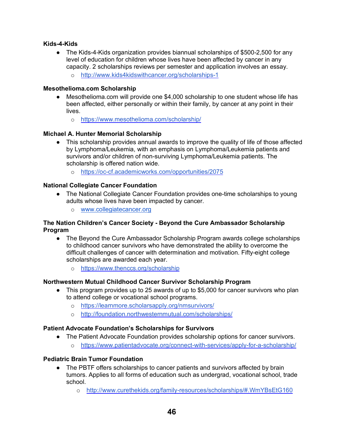#### **Kids-4-Kids**

- The Kids-4-Kids organization provides biannual scholarships of \$500-2,500 for any level of education for children whose lives have been affected by cancer in any capacity. 2 scholarships reviews per semester and application involves an essay.
	- o <http://www.kids4kidswithcancer.org/scholarships-1>

#### **Mesothelioma.com Scholarship**

- Mesothelioma.com will provide one \$4,000 scholarship to one student whose life has been affected, either personally or within their family, by cancer at any point in their lives.
	- o <https://www.mesothelioma.com/scholarship/>

#### **Michael A. Hunter Memorial Scholarship**

- This scholarship provides annual awards to improve the quality of life of those affected by Lymphoma/Leukemia, with an emphasis on Lymphoma/Leukemia patients and survivors and/or children of non-surviving Lymphoma/Leukemia patients. The scholarship is offered nation wide.
	- o <https://oc-cf.academicworks.com/opportunities/2075>

#### **National Collegiate Cancer Foundation**

- The National Collegiate Cancer Foundation provides one-time scholarships to young adults whose lives have been impacted by cancer.
	- o [www.collegiatecancer.org](http://www.collegiatecancer.org/)

#### **The Nation Children's Cancer Society - Beyond the Cure Ambassador Scholarship Program**

- The Beyond the Cure Ambassador Scholarship Program awards college scholarships to childhood cancer survivors who have demonstrated the ability to overcome the difficult challenges of cancer with determination and motivation. Fifty-eight college scholarships are awarded each year.
	- o <https://www.thenccs.org/scholarship>

#### **Northwestern Mutual Childhood Cancer Survivor Scholarship Program**

- This program provides up to 25 awards of up to \$5,000 for cancer survivors who plan to attend college or vocational school programs.
	- o <https://learnmore.scholarsapply.org/nmsurvivors/>
	- o <http://foundation.northwesternmutual.com/scholarships/>

#### **Patient Advocate Foundation's Scholarships for Survivors**

- The Patient Advocate Foundation provides scholarship options for cancer survivors.
	- o <https://www.patientadvocate.org/connect-with-services/apply-for-a-scholarship/>

#### **Pediatric Brain Tumor Foundation**

- The PBTF offers scholarships to cancer patients and survivors affected by brain tumors. Applies to all forms of education such as undergrad, vocational school, trade school.
	- o <http://www.curethekids.org/family-resources/scholarships/#.WmYBsEtG160>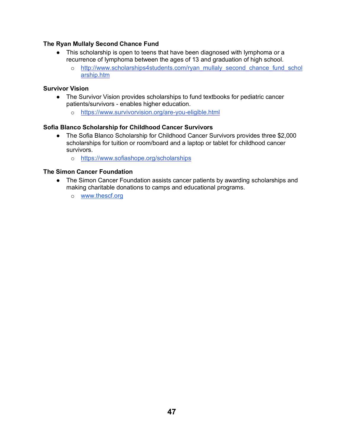#### **The Ryan Mullaly Second Chance Fund**

- This scholarship is open to teens that have been diagnosed with lymphoma or a recurrence of lymphoma between the ages of 13 and graduation of high school.
	- o [http://www.scholarships4students.com/ryan\\_mullaly\\_second\\_chance\\_fund\\_schol](http://www.scholarships4students.com/ryan_mullaly_second_chance_fund_scholarship.htm) [arship.htm](http://www.scholarships4students.com/ryan_mullaly_second_chance_fund_scholarship.htm)

#### **Survivor Vision**

- The Survivor Vision provides scholarships to fund textbooks for pediatric cancer patients/survivors - enables higher education.
	- o <https://www.survivorvision.org/are-you-eligible.html>

#### **Sofia Blanco Scholarship for Childhood Cancer Survivors**

- The Sofia Blanco Scholarship for Childhood Cancer Survivors provides three \$2,000 scholarships for tuition or room/board and a laptop or tablet for childhood cancer survivors.
	- o <https://www.sofiashope.org/scholarships>

#### **The Simon Cancer Foundation**

- The Simon Cancer Foundation assists cancer patients by awarding scholarships and making charitable donations to camps and educational programs.
	- o [www.thescf.org](http://www.thescf.org/)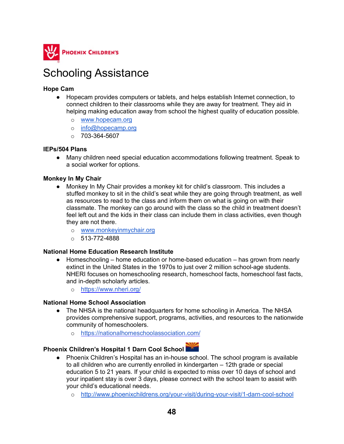

### Schooling Assistance

#### **Hope Cam**

- Hopecam provides computers or tablets, and helps establish Internet connection, to connect children to their classrooms while they are away for treatment. They aid in helping making education away from school the highest quality of education possible.
	- o [www.hopecam.org](http://www.hopecam.org/)
	- o info@hopecamp.org
	- $O$  703-364-5607

#### **IEPs/504 Plans**

● Many children need special education accommodations following treatment. Speak to a social worker for options.

#### **Monkey In My Chair**

- Monkey In My Chair provides a monkey kit for child's classroom. This includes a stuffed monkey to sit in the child's seat while they are going through treatment, as well as resources to read to the class and inform them on what is going on with their classmate. The monkey can go around with the class so the child in treatment doesn't feel left out and the kids in their class can include them in class activities, even though they are not there.
	- o [www.monkeyinmychair.org](http://www.monkeyinmychair.org/)
	- $\circ$  513-772-4888

#### **National Home Education Research Institute**

- Homeschooling home education or home-based education has grown from nearly extinct in the United States in the 1970s to just over 2 million school-age students. NHERI focuses on homeschooling research, homeschool facts, homeschool fast facts, and in-depth scholarly articles.
	- o <https://www.nheri.org/>

#### **National Home School Association**

- The NHSA is the national headquarters for home schooling in America. The NHSA provides comprehensive support, programs, activities, and resources to the nationwide community of homeschoolers.
	- o <https://nationalhomeschoolassociation.com/>

#### **Phoenix Children's Hospital 1 Darn Cool School**

- Phoenix Children's Hospital has an in-house school. The school program is available to all children who are currently enrolled in kindergarten – 12th grade or special education 5 to 21 years. If your child is expected to miss over 10 days of school and your inpatient stay is over 3 days, please connect with the school team to assist with your child's educational needs.
	- o <http://www.phoenixchildrens.org/your-visit/during-your-visit/1-darn-cool-school>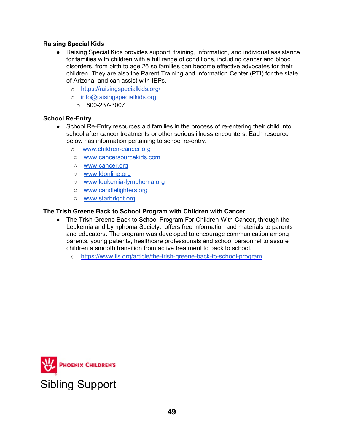#### **Raising Special Kids**

- Raising Special Kids provides support, training, information, and individual assistance for families with children with a full range of conditions, including cancer and blood disorders, from birth to age 26 so families can become effective advocates for their children. They are also the Parent Training and Information Center (PTI) for the state of Arizona, and can assist with IEPs.
	- o <https://raisingspecialkids.org/>
	- o [info@raisingspecialkids.org](mailto:info@raisingspecialkids.org)
		- $\circ$  800-237-3007

#### **School Re-Entry**

- School Re-Entry resources aid families in the process of re-entering their child into school after cancer treatments or other serious illness encounters. Each resource below has information pertaining to school re-entry.
	- o [www.children-cancer.org](http://www.children-cancer.org/)
	- [www.cancersourcekids.com](http://www.cancersourcekids.com/)
	- [www.cancer.org](http://www.cancer.prg/)
	- [www.ldonline.org](http://www.ldonline.org/)
	- [www.leukemia-lymphoma.org](http://www.leukemia-lymphoma.org/)
	- [www.candlelighters.org](http://www.candlelighters.org/)
	- [www.starbright.org](http://www.starbright.org/)

#### **The Trish Greene Back to School Program with Children with Cancer**

- The Trish Greene Back to School Program For Children With Cancer, through the Leukemia and Lymphoma Society, offers free information and materials to parents and educators. The program was developed to encourage communication among parents, young patients, healthcare professionals and school personnel to assure children a smooth transition from active treatment to back to school.
	- o <https://www.lls.org/article/the-trish-greene-back-to-school-program>

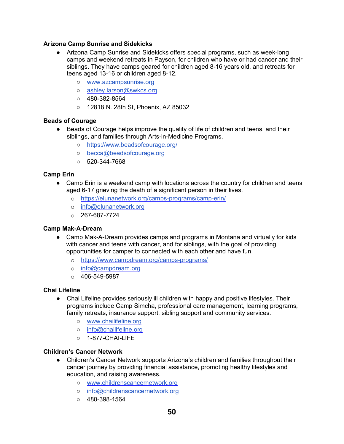#### **Arizona Camp Sunrise and Sidekicks**

- Arizona Camp Sunrise and Sidekicks offers special programs, such as week-long camps and weekend retreats in Payson, for children who have or had cancer and their siblings. They have camps geared for children aged 8-16 years old, and retreats for teens aged 13-16 or children aged 8-12.
	- [www.azcampsunrise.org](http://www.azcampsunrise.org/)
	- o [ashley.larson@swkcs.org](mailto:ashley.larson@swkcs.org)
	- 480-382-8564
	- 12818 N. 28th St, Phoenix, AZ 85032

#### **Beads of Courage**

- Beads of Courage helps improve the quality of life of children and teens, and their siblings, and families through Arts-in-Medicine Programs,
	- <https://www.beadsofcourage.org/>
	- o [becca@beadsofcourage.org](mailto:becca@beadsofcourage.org)
	- $0.520 344 7668$

#### **Camp Erin**

- Camp Erin is a weekend camp with locations across the country for children and teens aged 6-17 grieving the death of a significant person in their lives.
	- o <https://elunanetwork.org/camps-programs/camp-erin/>
	- o [info@elunanetwork.org](mailto:info@elunanetwork.org)
	- $O$  267-687-7724

#### **Camp Mak-A-Dream**

- Camp Mak-A-Dream provides camps and programs in Montana and virtually for kids with cancer and teens with cancer, and for siblings, with the goal of providing opportunities for camper to connected with each other and have fun.
	- o <https://www.campdream.org/camps-programs/>
	- o [info@campdream.org](mailto:info@campdream.org)
	- $\circ$  406-549-5987

#### **Chai Lifeline**

- Chai Lifeline provides seriously ill children with happy and positive lifestyles. Their programs include Camp Simcha, professional care management, learning programs, family retreats, insurance support, sibling support and community services.
	- [www.chailifeline.org](http://www.chailifeline.org/)
	- [info@chailifeline.org](mailto:info@chailifeline.org)
	- 1-877-CHAI-LIFE

#### **Children's Cancer Network**

- Children's Cancer Network supports Arizona's children and families throughout their cancer journey by providing financial assistance, promoting healthy lifestyles and education, and raising awareness.
	- [www.childrenscancernetwork.org](http://www.childrenscancernetwork.org/)
	- o [info@childrenscancernetwork.org](mailto:info@childrenscancernetwork.org)
	- $\circ$  480-398-1564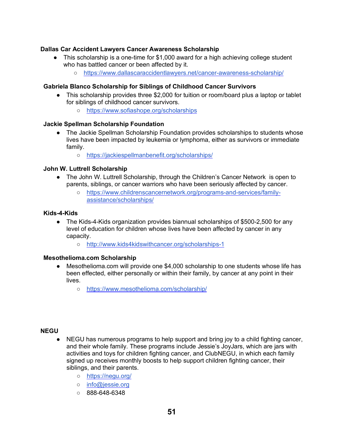#### **Dallas Car Accident Lawyers Cancer Awareness Scholarship**

- This scholarship is a one-time for  $$1,000$  award for a high achieving college student who has battled cancer or been affected by it.
	- <https://www.dallascaraccidentlawyers.net/cancer-awareness-scholarship/>

#### **Gabriela Blanco Scholarship for Siblings of Childhood Cancer Survivors**

- This scholarship provides three \$2,000 for tuition or room/board plus a laptop or tablet for siblings of childhood cancer survivors.
	- <https://www.sofiashope.org/scholarships>

#### **Jackie Spellman Scholarship Foundation**

- The Jackie Spellman Scholarship Foundation provides scholarships to students whose lives have been impacted by leukemia or lymphoma, either as survivors or immediate family.
	- <https://jackiespellmanbenefit.org/scholarships/>

#### **John W. Luttrell Scholarship**

- The John W. Luttrell Scholarship, through the Children's Cancer Network is open to parents, siblings, or cancer warriors who have been seriously affected by cancer.
	- [https://www.childrenscancernetwork.org/programs-and-services/family](https://www.childrenscancernetwork.org/programs-and-services/family-assistance/scholarships/)[assistance/scholarships/](https://www.childrenscancernetwork.org/programs-and-services/family-assistance/scholarships/)

#### **Kids-4-Kids**

- The Kids-4-Kids organization provides biannual scholarships of \$500-2,500 for any level of education for children whose lives have been affected by cancer in any capacity.
	- <http://www.kids4kidswithcancer.org/scholarships-1>

#### **Mesothelioma.com Scholarship**

- Mesothelioma.com will provide one \$4,000 scholarship to one students whose life has been effected, either personally or within their family, by cancer at any point in their lives.
	- <https://www.mesothelioma.com/scholarship/>

#### **NEGU**

- NEGU has numerous programs to help support and bring joy to a child fighting cancer, and their whole family. These programs include Jessie's JoyJars, which are jars with activities and toys for children fighting cancer, and ClubNEGU, in which each family signed up receives monthly boosts to help support children fighting cancer, their siblings, and their parents.
	- <https://negu.org/>
	- [info@jessie.org](mailto:info@jessie.org)
	- 888-648-6348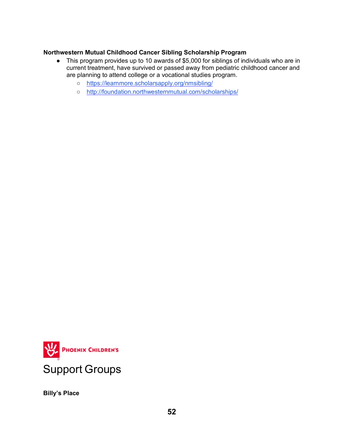#### **Northwestern Mutual Childhood Cancer Sibling Scholarship Program**

- This program provides up to 10 awards of \$5,000 for siblings of individuals who are in current treatment, have survived or passed away from pediatric childhood cancer and are planning to attend college or a vocational studies program.
	- <https://learnmore.scholarsapply.org/nmsibling/>
	- <http://foundation.northwesternmutual.com/scholarships/>



**Billy's Place**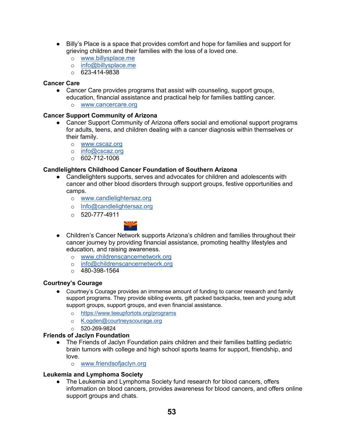- Billy's Place is a space that provides comfort and hope for families and support for grieving children and their families with the loss of a loved one.
	- o [www.billysplace.me](http://www.billysplace.me/)
	- o [info@billysplace.me](mailto:info@billysplace.me)
	- $\circ$  623-414-9838

#### **Cancer Care**

- Cancer Care provides programs that assist with counseling, support groups, education, financial assistance and practical help for families battling cancer.
	- o [www.cancercare.org](http://www.cancercare.org/)

#### **Cancer Support Community of Arizona**

- Cancer Support Community of Arizona offers social and emotional support programs for adults, teens, and children dealing with a cancer diagnosis within themselves or their family.
	- o [www.cscaz.org](http://www.cscaz.org/)
	- o [info@cscaz.org](mailto:info@cscaz.org)
	- $\circ$  602-712-1006

#### **Candlelighters Childhood Cancer Foundation of Southern Arizona**

- Candlelighters supports, serves and advocates for children and adolescents with cancer and other blood disorders through support groups, festive opportunities and camps.
	- o [www.candlelightersaz.org](http://www.candlelightersaz.org/)
	- o [Info@candlelightersaz.org](mailto:info@candlelightersaz.org)
	- $\circ$  520-777-4911



- Children's Cancer Network supports Arizona's children and families throughout their cancer journey by providing financial assistance, promoting healthy lifestyles and education, and raising awareness.
	- o [www.childrenscancernetwork.org](http://www.childrenscancernetwork.org/)
	- o [info@childrenscancernetwork.org](mailto:info@childrenscancernetwork.org)
	- $\circ$  480-398-1564

#### **Courtney's Courage**

- Courtney's Courage provides an immense amount of funding to cancer research and family support programs. They provide sibling events, gift packed backpacks, teen and young adult support groups, support groups, and even financial assistance.
	- o <https://www.teeupfortots.org/programs>
	- o K.ogden@courtneyscourage.org
	- $\circ$  520-269-9824

#### **Friends of Jaclyn Foundation**

- The Friends of Jaclyn Foundation pairs children and their families battling pediatric brain tumors with college and high school sports teams for support, friendship, and love.
	- o [www.friendsofjaclyn.org](http://www.friendsofjaclyn.org/)

#### **Leukemia and Lymphoma Society**

• The Leukemia and Lymphoma Society fund research for blood cancers, offers information on blood cancers, provides awareness for blood cancers, and offers online support groups and chats.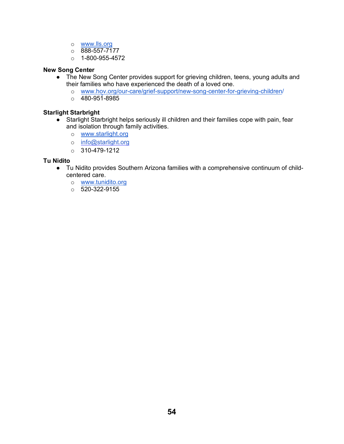- o [www.lls.org](http://www.lls.org/)
- o 888-557-7177
- $\circ$  1-800-955-4572

#### **New Song Center**

- The New Song Center provides support for grieving children, teens, young adults and their families who have experienced the death of a loved one.
	- o [www.hov.org/our-care/grief-support/new-song-center-for-grieving-children/](http://www.hov.org/our-care/grief-support/new-song-center-for-grieving-children/)
	- $\circ$  480-951-8985

#### **Starlight Starbright**

- Starlight Starbright helps seriously ill children and their families cope with pain, fear and isolation through family activities.
	- o [www.starlight.org](http://www.starlight.org/)
	- o [info@starlight.org](mailto:info@starlight.org)
	- $o$  310-479-1212

#### **Tu Nidito**

- Tu Nidito provides Southern Arizona families with a comprehensive continuum of childcentered care.
	- o [www.tunidito.org](http://www.tunidito.org/)
	- $o$  520-322-9155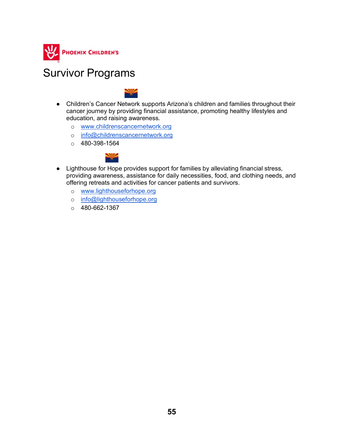

### Survivor Programs

- Children's Cancer Network supports Arizona's children and families throughout their cancer journey by providing financial assistance, promoting healthy lifestyles and education, and raising awareness.
	- o [www.childrenscancernetwork.org](http://www.childrenscancernetwork.org/)
	- o [info@childrenscancernetwork.org](mailto:info@childrenscancernetwork.org)
	- $\circ$  480-398-1564



- Lighthouse for Hope provides support for families by alleviating financial stress, providing awareness, assistance for daily necessities, food, and clothing needs, and offering retreats and activities for cancer patients and survivors.
	- o [www.lighthouseforhope.org](http://www.lighthouseforhope.org/)
	- o [info@lighthouseforhope.org](mailto:info@lighthouseforhope.org)
	- $O$  480-662-1367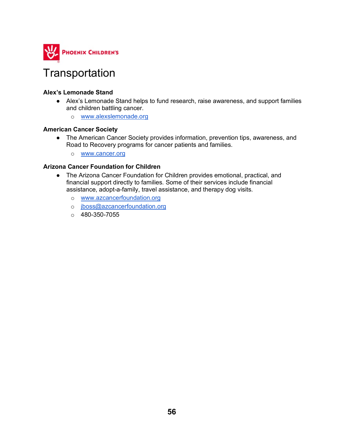

### **Transportation**

#### **Alex's Lemonade Stand**

- Alex's Lemonade Stand helps to fund research, raise awareness, and support families and children battling cancer.
	- o [www.alexslemonade.org](http://www.alexslemonade.org/)

#### **American Cancer Society**

- The American Cancer Society provides information, prevention tips, awareness, and Road to Recovery programs for cancer patients and families.
	- o [www.cancer.org](http://www.cancer.org/)

#### **Arizona Cancer Foundation for Children**

- The Arizona Cancer Foundation for Children provides emotional, practical, and financial support directly to families. Some of their services include financial assistance, adopt-a-family, travel assistance, and therapy dog visits.
	- o [www.azcancerfoundation.org](http://www.azcancerfoundation.org/)
	- o [jboss@azcancerfoundation.org](mailto:jboss@AZCancerFoundation.org)
	- $\circ$  480-350-7055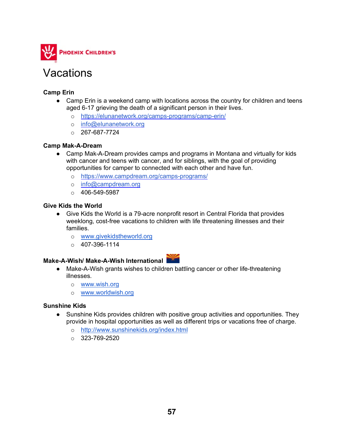

### Vacations

#### **Camp Erin**

- Camp Erin is a weekend camp with locations across the country for children and teens aged 6-17 grieving the death of a significant person in their lives.
	- o <https://elunanetwork.org/camps-programs/camp-erin/>
	- o [info@elunanetwork.org](mailto:info@elunanetwork.org)
	- $O$  267-687-7724

#### **Camp Mak-A-Dream**

- Camp Mak-A-Dream provides camps and programs in Montana and virtually for kids with cancer and teens with cancer, and for siblings, with the goal of providing opportunities for camper to connected with each other and have fun.
	- o <https://www.campdream.org/camps-programs/>
	- o [info@campdream.org](mailto:info@campdream.org)
	- $\circ$  406-549-5987

#### **Give Kids the World**

- Give Kids the World is a 79-acre nonprofit resort in Central Florida that provides weeklong, cost-free vacations to children with life threatening illnesses and their families.
	- o [www.givekidstheworld.org](http://www.givekidstheworld.org/)
	- $\circ$  407-396-1114

- **Make-A-Wish/ Make-A-Wish International** ● Make-A-Wish grants wishes to children battling cancer or other life-threatening illnesses.
	- o [www.wish.org](http://www.wish.org/)
	- o [www.worldwish.org](http://www.worldwish.org/)

#### **Sunshine Kids**

- Sunshine Kids provides children with positive group activities and opportunities. They provide in hospital opportunities as well as different trips or vacations free of charge.
	- o <http://www.sunshinekids.org/index.html>
	- $\circ$  323-769-2520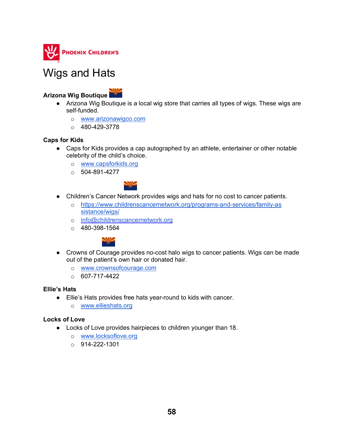

### Wigs and Hats

### **Arizona Wig Boutique**

- Arizona Wig Boutique is a local wig store that carries all types of wigs. These wigs are self-funded.
	- o [www.arizonawigco.com](http://www.arizonawigco.com/)
	- $O$  480-429-3778

#### **Caps for Kids**

- Caps for Kids provides a cap autographed by an athlete, entertainer or other notable celebrity of the child's choice.
	- o [www.capsforkids.org](http://www.capsforkids.org/)
	- $\circ$  504-891-4277



- Children's Cancer Network provides wigs and hats for no cost to cancer patients.
	- o [https://www.childrenscancernetwork.org/programs-and-services/family-as](https://www.childrenscancernetwork.org/programs-and-services/family-assistance/wigs/) [sistance/wigs/](https://www.childrenscancernetwork.org/programs-and-services/family-assistance/wigs/)
	- o [info@childrenscancernetwork.org](mailto:info@childrenscancernetwork.org)
	- $\circ$  480-398-1564



- Crowns of Courage provides no-cost halo wigs to cancer patients. Wigs can be made out of the patient's own hair or donated hair.
	- o [www.crownsofcourage.com](http://www.crownsofcourage.com/)
	- $O$  607-717-4422

#### **Ellie's Hats**

- Ellie's Hats provides free hats year-round to kids with cancer.
	- o [www.ellieshats.org](http://www.ellieshats.org/)

#### **Locks of Love**

- Locks of Love provides hairpieces to children younger than 18.
	- o [www.locksoflove.org](http://www.locksoflove.org/)
	- o 914-222-1301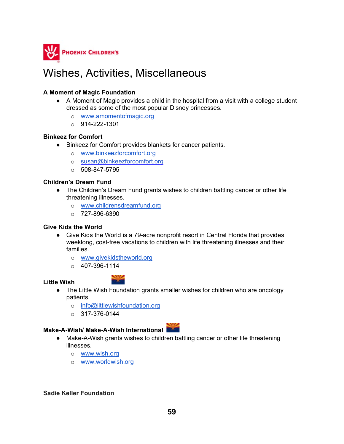

### Wishes, Activities, Miscellaneous

#### **A Moment of Magic Foundation**

- A Moment of Magic provides a child in the hospital from a visit with a college student dressed as some of the most popular Disney princesses.
	- o [www.amomentofmagic.org](http://www.amomentofmagic.org/)
	- $O = 914 222 1301$

#### **Binkeez for Comfort**

- Binkeez for Comfort provides blankets for cancer patients.
	- o [www.binkeezforcomfort.org](http://www.binkeezforcomfort.org/)
	- o [susan@binkeezforcomfort.org](mailto:susan@binkeezforcomfort.org)
	- $0.508 847 5795$

#### **Children's Dream Fund**

- The Children's Dream Fund grants wishes to children battling cancer or other life threatening illnesses.
	- o [www.childrensdreamfund.org](http://www.childrensdreamfund.org/)
	- $O$  727-896-6390

#### **Give Kids the World**

- Give Kids the World is a 79-acre nonprofit resort in Central Florida that provides weeklong, cost-free vacations to children with life threatening illnesses and their families.
	- o [www.givekidstheworld.org](http://www.givekidstheworld.org/)
	- $O$  407-396-1114

#### **Little Wish**



- The Little Wish Foundation grants smaller wishes for children who are oncology patients.
	- o [info@littlewishfoundation.org](mailto:info@littlewishfoundation.org)
	- $\circ$  317-376-0144

### **Make-A-Wish/ Make-A-Wish International**

- Make-A-Wish grants wishes to children battling cancer or other life threatening illnesses.
	- o [www.wish.org](http://www.wish.org/)
	- o [www.worldwish.org](http://www.worldwish.org/)

#### **Sadie Keller Foundation**